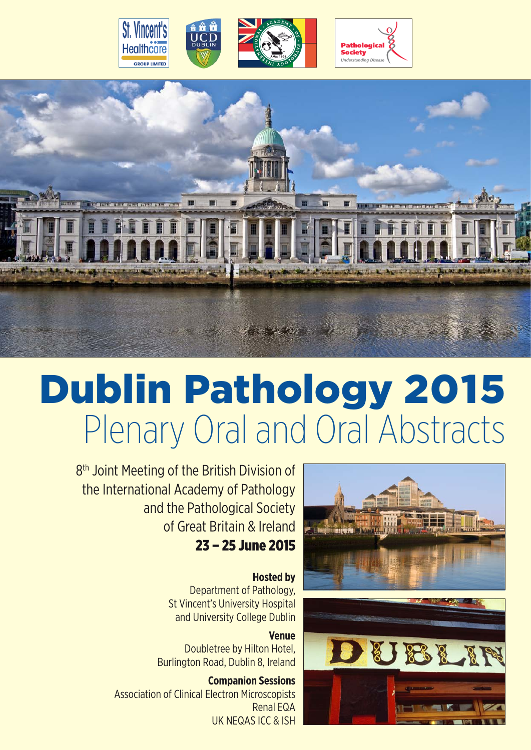



# Dublin Pathology 2015 Plenary Oral and Oral Abstracts

8<sup>th</sup> Joint Meeting of the British Division of the International Academy of Pathology and the Pathological Society of Great Britain & Ireland 23 – 25 June 2015

> **Hosted by** Department of Pathology, St Vincent's University Hospital and University College Dublin

**Venue** Doubletree by Hilton Hotel, Burlington Road, Dublin 8, Ireland

**Companion Sessions** Association of Clinical Electron Microscopists Renal EQA UK NEQAS ICC & ISH



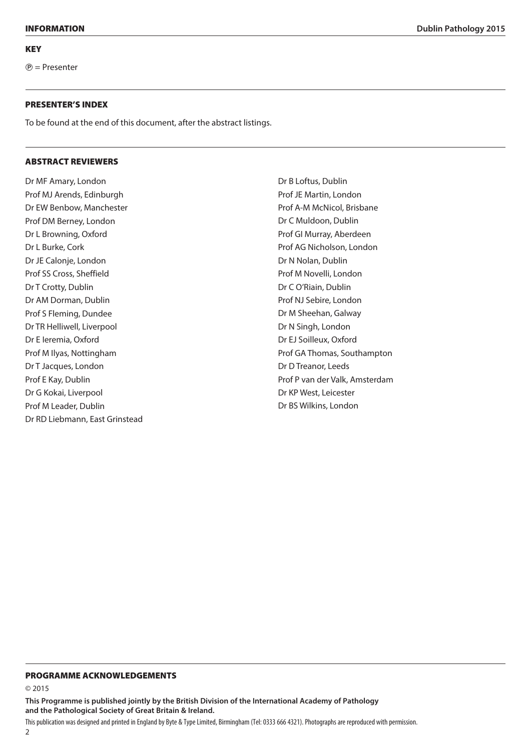$P$  = Presenter

#### Presenter's Index

To be found at the end of this document, after the abstract listings.

#### Abstract Reviewers

Dr MF Amary, London Prof MJ Arends, Edinburgh Dr EW Benbow, Manchester Prof DM Berney, London Dr L Browning, Oxford Dr L Burke, Cork Dr JE Calonje, London Prof SS Cross, Sheffield Dr T Crotty, Dublin Dr AM Dorman, Dublin Prof S Fleming, Dundee Dr TR Helliwell, Liverpool Dr E Ieremia, Oxford Prof M Ilyas, Nottingham Dr T Jacques, London Prof E Kay, Dublin Dr G Kokai, Liverpool Prof M Leader, Dublin Dr RD Liebmann, East Grinstead Dr B Loftus, Dublin Prof JE Martin, London Prof A-M McNicol, Brisbane Dr C Muldoon, Dublin Prof GI Murray, Aberdeen Prof AG Nicholson, London Dr N Nolan, Dublin Prof M Novelli, London Dr C O'Riain, Dublin Prof NJ Sebire, London Dr M Sheehan, Galway Dr N Singh, London Dr EJ Soilleux, Oxford Prof GA Thomas, Southampton Dr D Treanor, Leeds Prof P van der Valk, Amsterdam Dr KP West, Leicester Dr BS Wilkins, London

#### INFORMATION **Dublin Pathology 2015**

#### Programme acknowledgements

© 2015

**This Programme is published jointly by the British Division of the International Academy of Pathology and the Pathological Society of Great Britain & Ireland.**

This publication was designed and printed in England by Byte & Type Limited, Birmingham (Tel: 0333 666 4321). Photographs are reproduced with permission.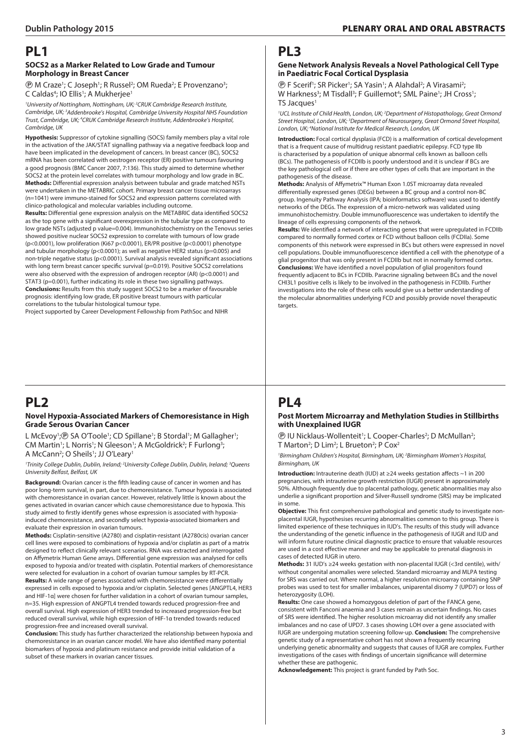### **PL1**

#### **SOCS2 as a Marker Related to Low Grade and Tumour Morphology in Breast Cancer**

**<sup>®</sup> M Craze<sup>1</sup>; C Joseph<sup>1</sup>; R Russel<sup>2</sup>; OM Rueda<sup>2</sup>; E Provenzano<sup>3</sup>;** C Caldas<sup>4</sup>; IO Ellis<sup>1</sup>; A Mukherjee<sup>1</sup>

<sup>1</sup>University of Nottingham, Nottingham, UK; <sup>2</sup>CRUK Cambridge Research Institute, *Cambridge, UK; 3 Addenbrooke's Hospital, Cambridge University Hospital NHS Foundation Trust, Cambridge, UK; 4 CRUK Cambridge Research Institute, Addenbrooke's Hospital, Cambridge, UK*

**Hypothesis:** Suppressor of cytokine signalling (SOCS) family members play a vital role in the activation of the JAK/STAT signalling pathway via a negative feedback loop and have been implicated in the development of cancers. In breast cancer (BC), SOCS2 mRNA has been correlated with oestrogen receptor (ER) positive tumours favouring a good prognosis (BMC Cancer 2007, 7:136). This study aimed to determine whether SOCS2 at the protein level correlates with tumour morphology and low grade in BC. **Methods:** Differential expression analysis between tubular and grade matched NSTs were undertaken in the METABRIC cohort. Primary breast cancer tissue microarrays (n=1041) were immuno-stained for SOCS2 and expression patterns correlated with clinico-pathological and molecular variables including outcome.

**Results:** Differential gene expression analysis on the METABRIC data identified SOCS2 as the top gene with a significant overexpression in the tubular type as compared to low grade NSTs (adjusted p value=0.004). Immunohistochemistry on the Tenovus series showed positive nuclear SOCS2 expression to correlate with tumours of low grade (p<0.0001), low proliferation (Ki67 p<0.0001), ER/PR positive (p<0.0001) phenotype and tubular morphology ( $p \le 0.0001$ ); as well as negative HER2 status ( $p=0.005$ ) and non-triple negative status (p<0.0001). Survival analysis revealed significant associations with long term breast cancer specific survival (p=0.019). Positive SOCS2 correlations were also observed with the expression of androgen receptor (AR) (p<0.0001) and STAT3 (p=0.001), further indicating its role in these two signalling pathways. **Conclusions:** Results from this study suggest SOCS2 to be a marker of favourable prognosis: identifying low grade, ER positive breast tumours with particular correlations to the tubular histological tumour type.

Project supported by Career Development Fellowship from PathSoc and NIHR

# **PL2**

#### **Novel Hypoxia-Associated Markers of Chemoresistance in High Grade Serous Ovarian Cancer**

L McEvoy<sup>1</sup>;<sup>®</sup> SA O'Toole<sup>1</sup>; CD Spillane<sup>1</sup>; B Stordal<sup>1</sup>; M Gallagher<sup>1</sup>; CM Martin<sup>1</sup>; L Norris<sup>1</sup>; N Gleeson<sup>1</sup>; A McGoldrick<sup>2</sup>; F Furlong<sup>3</sup>; A McCann<sup>2</sup>; O Sheils<sup>1</sup>; JJ O'Leary<sup>1</sup>

<sup>1</sup>Trinity College Dublin, Dublin, Ireland; <sup>2</sup>University College Dublin, Dublin, Ireland; <sup>3</sup>Queens *University Belfast, Belfast, UK*

**Background:** Ovarian cancer is the fifth leading cause of cancer in women and has poor long-term survival, in part, due to chemoresistance. Tumour hypoxia is associated with chemoresistance in ovarian cancer. However, relatively little is known about the genes activated in ovarian cancer which cause chemoresistance due to hypoxia. This study aimed to firstly identify genes whose expression is associated with hypoxiainduced chemoresistance, and secondly select hypoxia-associated biomarkers and evaluate their expression in ovarian tumours.

**Methods:** Cisplatin-sensitive (A2780) and cisplatin-resistant (A2780cis) ovarian cancer cell lines were exposed to combinations of hypoxia and/or cisplatin as part of a matrix designed to reflect clinically relevant scenarios. RNA was extracted and interrogated on Affymetrix Human Gene arrays. Differential gene expression was analysed for cells exposed to hypoxia and/or treated with cisplatin. Potential markers of chemoresistance were selected for evaluation in a cohort of ovarian tumour samples by RT-PCR. **Results:** A wide range of genes associated with chemoresistance were differentially expressed in cells exposed to hypoxia and/or cisplatin. Selected genes [ANGPTL4, HER3 and HIF-1α] were chosen for further validation in a cohort of ovarian tumour samples, n=35. High expression of ANGPTL4 trended towards reduced progression-free and overall survival. High expression of HER3 trended to increased progression-free but reduced overall survival, while high expression of HIF-1α trended towards reduced progression-free and increased overall survival.

**Conclusion:** This study has further characterized the relationship between hypoxia and chemoresistance in an ovarian cancer model. We have also identified many potential biomarkers of hypoxia and platinum resistance and provide initial validation of a subset of these markers in ovarian cancer tissues.

### **PL3**

#### **Gene Network Analysis Reveals a Novel Pathological Cell Type in Paediatric Focal Cortical Dysplasia**

**(B)** F Scerif<sup>1</sup>; SR Picker<sup>1</sup>; SA Yasin<sup>1</sup>; A Alahdal<sup>2</sup>; A Virasami<sup>2</sup>; W Harkness<sup>3</sup>; M Tisdall<sup>3</sup>; F Guillemot<sup>4</sup>; SML Paine<sup>1</sup>; JH Cross<sup>1</sup>; TS Jacques<sup>1</sup>

<sup>1</sup> UCL Institute of Child Health, London, UK; <sup>2</sup> Department of Histopathology, Great Ormond *Street Hospital, London, UK; 3 Department of Neurosurgery, Great Ormond Street Hospital, London, UK; 4 National Institute for Medical Research, London, UK*

**Introduction:** Focal cortical dysplasia (FCD) is a malformation of cortical development that is a frequent cause of multidrug resistant paediatric epilepsy. FCD type IIb is characterised by a population of unique abnormal cells known as balloon cells (BCs). The pathogenesis of FCDIIb is poorly understood and it is unclear if BCs are the key pathological cell or if there are other types of cells that are important in the pathogenesis of the disease.

**Methods:** Analysis of Affymetrix™ Human Exon 1.0ST microarray data revealed differentially expressed genes (DEGs) between a BC group and a control non-BC group. Ingenuity Pathway Analysis (IPA; bioinformatics software) was used to identify networks of the DEGs. The expression of a micro-network was validated using immunohistochemistry. Double immunofluorescence was undertaken to identify the lineage of cells expressing components of the network.

**Results:** We identified a network of interacting genes that were upregulated in FCDIIb compared to normally formed cortex or FCD without balloon cells (FCDIIa). Some components of this network were expressed in BCs but others were expressed in novel cell populations. Double immunofluorescence identified a cell with the phenotype of a glial progenitor that was only present in FCDIIb but not in normally formed cortex. **Conclusions:** We have identified a novel population of glial progenitors found frequently adjacent to BCs in FCDIIb. Paracrine signaling between BCs and the novel CHI3L1 positive cells is likely to be involved in the pathogenesis in FCDIIb. Further investigations into the role of these cells would give us a better understanding of the molecular abnormalities underlying FCD and possibly provide novel therapeutic targets.

# **PL4**

#### **Post Mortem Microarray and Methylation Studies in Stillbirths with Unexplained IUGR**

**(B)** IU Nicklaus-Wollenteit<sup>1</sup>; L Cooper-Charles<sup>2</sup>; D McMullan<sup>2</sup>; T Marton<sup>2</sup>; D Lim<sup>2</sup>; L Brueton<sup>2</sup>; P Cox<sup>2</sup>

*1 Birmingham Children's Hospital, Birmingham, UK; 2 Birmingham Women's Hospital, Birmingham, UK*

**Introduction:** Intrauterine death (IUD) at ≥24 weeks gestation affects ~1 in 200 pregnancies, with intrauterine growth restriction (IUGR) present in approximately 50%. Although frequently due to placental pathology, genetic abnormalities may also underlie a significant proportion and Silver-Russell syndrome (SRS) may be implicated in some.

**Objective:** This first comprehensive pathological and genetic study to investigate nonplacental IUGR, hypothesises recurring abnormalities common to this group. There is limited experience of these techniques in IUD's. The results of this study will advance the understanding of the genetic influence in the pathogenesis of IUGR and IUD and will inform future routine clinical diagnostic practice to ensure that valuable resources are used in a cost effective manner and may be applicable to prenatal diagnosis in cases of detected IUGR in utero.

**Methods:** 31 IUD's ≥24 weeks gestation with non-placental IUGR (<3rd centile), with/ without congenital anomalies were selected. Standard microarray and MLPA testing for SRS was carried out. Where normal, a higher resolution microarray containing SNP probes was used to test for smaller imbalances, uniparental disomy 7 (UPD7) or loss of heterozygosity (LOH).

**Results:** One case showed a homozygous deletion of part of the FANCA gene, consistent with Fanconi anaemia and 3 cases remain as uncertain findings. No cases of SRS were identified. The higher resolution microarray did not identify any smaller imbalances and no case of UPD7. 3 cases showing LOH over a gene associated with IUGR are undergoing mutation screening follow-up. **Conclusion:** The comprehensive genetic study of a representative cohort has not shown a frequently recurring underlying genetic abnormality and suggests that causes of IUGR are complex. Further investigations of the cases with findings of uncertain significance will determine whether these are pathogenic.

**Acknowledgement:** This project is grant funded by Path Soc.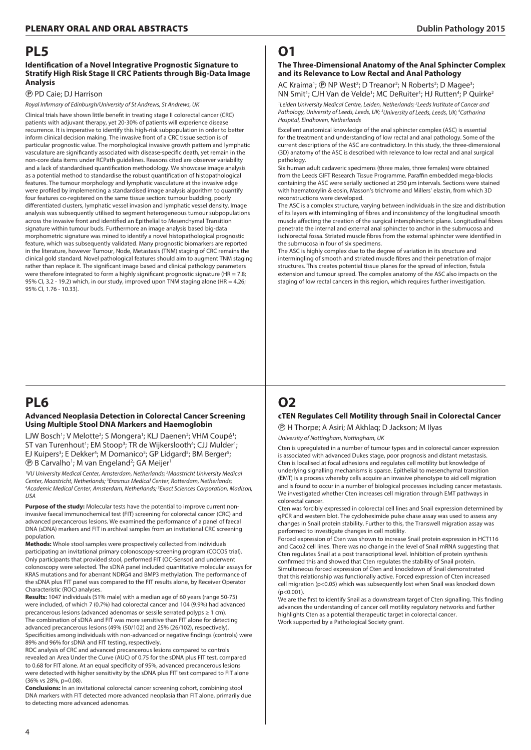### **PL5**

#### **Identification of a Novel Integrative Prognostic Signature to Stratify High Risk Stage II CRC Patients through Big-Data Image Analysis**

#### P PD Caie; DJ Harrison

*Royal Infirmary of Edinburgh/University of St Andrews, St Andrews, UK*

Clinical trials have shown little benefit in treating stage II colorectal cancer (CRC) patients with adjuvant therapy, yet 20-30% of patients will experience disease recurrence. It is imperative to identify this high-risk subpopulation in order to better inform clinical decision making. The invasive front of a CRC tissue section is of particular prognostic value. The morphological invasive growth pattern and lymphatic vasculature are significantly associated with disease-specific death, yet remain in the non-core data items under RCPath guidelines. Reasons cited are observer variability and a lack of standardised quantification methodology. We showcase image analysis as a potential method to standardise the robust quantification of histopathological features. The tumour morphology and lymphatic vasculature at the invasive edge were profiled by implementing a standardised image analysis algorithm to quantify four features co-registered on the same tissue section: tumour budding, poorly differentiated clusters, lymphatic vessel invasion and lymphatic vessel density. Image analysis was subsequently utilised to segment heterogeneous tumour subpopulations across the invasive front and identified an Epithelial to Mesenchymal Transition signature within tumour buds. Furthermore an image analysis based big-data morphometric signature was mined to identify a novel histopathological prognostic feature, which was subsequently validated. Many prognostic biomarkers are reported in the literature, however Tumour, Node, Metastasis (TNM) staging of CRC remains the clinical gold standard. Novel pathological features should aim to augment TNM staging rather than replace it. The significant image based and clinical pathology parameters were therefore integrated to form a highly significant prognostic signature (HR = 7.8; 95% CI, 3.2 - 19.2) which, in our study, improved upon TNM staging alone (HR = 4.26; 95% CI, 1.76 - 10.33).

# **PL6**

#### **Advanced Neoplasia Detection in Colorectal Cancer Screening Using Multiple Stool DNA Markers and Haemoglobin**

LJW Bosch<sup>1</sup>; V Melotte<sup>2</sup>; S Mongera<sup>1</sup>; KLJ Daenen<sup>2</sup>; VHM Coupé<sup>1</sup>; ST van Turenhout<sup>1</sup>; EM Stoop<sup>3</sup>; TR de Wijkerslooth<sup>4</sup>; CJJ Mulder<sup>1</sup>; EJ Kuipers<sup>3</sup>; E Dekker<sup>4</sup>; M Domanico<sup>5</sup>; GP Lidgard<sup>5</sup>; BM Berger<sup>5</sup>; **(B)** B Carvalho<sup>1</sup>; M van Engeland<sup>2</sup>; GA Meijer<sup>1</sup>

*1 VU University Medical Center, Amsterdam, Netherlands; 2 Maastricht University Medical Center, Maastricht, Netherlands; 3 Erasmus Medical Center, Rotterdam, Netherlands; 4 Academic Medical Center, Amsterdam, Netherlands; 5 Exact Sciences Corporation, Madison, USA*

**Purpose of the study:** Molecular tests have the potential to improve current noninvasive faecal immunochemical test (FIT) screening for colorectal cancer (CRC) and advanced precancerous lesions. We examined the performance of a panel of faecal DNA (sDNA) markers and FIT in archival samples from an invitational CRC screening population.

**Methods:** Whole stool samples were prospectively collected from individuals participating an invitational primary colonoscopy-screening program (COCOS trial). Only participants that provided stool, performed FIT (OC-Sensor) and underwent colonoscopy were selected. The sDNA panel included quantitative molecular assays for KRAS mutations and for aberrant NDRG4 and BMP3 methylation. The performance of the sDNA plus FIT panel was compared to the FIT results alone, by Receiver Operator Characteristic (ROC) analyses.

**Results:** 1047 individuals (51% male) with a median age of 60 years (range 50-75) were included, of which 7 (0.7%) had colorectal cancer and 104 (9.9%) had advanced precancerous lesions (advanced adenomas or sessile serrated polyps ≥ 1 cm). The combination of sDNA and FIT was more sensitive than FIT alone for detecting advanced precancerous lesions (49% (50/102) and 25% (26/102), respectively). Specificities among individuals with non-advanced or negative findings (controls) were 89% and 96% for sDNA and FIT testing, respectively.

ROC analysis of CRC and advanced precancerous lesions compared to controls revealed an Area Under the Curve (AUC) of 0.75 for the sDNA plus FIT test, compared to 0.68 for FIT alone. At an equal specificity of 95%, advanced precancerous lesions were detected with higher sensitivity by the sDNA plus FIT test compared to FIT alone (36% vs 28%, p=0.08).

**Conclusions:** In an invitational colorectal cancer screening cohort, combining stool DNA markers with FIT detected more advanced neoplasia than FIT alone, primarily due to detecting more advanced adenomas.

# **O1**

#### **The Three-Dimensional Anatomy of the Anal Sphincter Complex and its Relevance to Low Rectal and Anal Pathology**

AC Kraima<sup>1</sup>; *@* NP West<sup>2</sup>; D Treanor<sup>2</sup>; N Roberts<sup>2</sup>; D Magee<sup>3</sup>; NN Smit<sup>1</sup>; CJH Van de Velde<sup>1</sup>; MC DeRuiter<sup>1</sup>; HJ Rutten<sup>4</sup>; P Quirke<sup>2</sup>

<sup>1</sup> Leiden University Medical Centre, Leiden, Netherlands; <sup>2</sup> Leeds Institute of Cancer and Pathology, University of Leeds, Leeds, UK;<sup>3</sup>University of Leeds, Leeds, UK;<sup>4</sup>Catharina *Hospital, Eindhoven, Netherlands*

Excellent anatomical knowledge of the anal sphincter complex (ASC) is essential for the treatment and understanding of low rectal and anal pathology. Some of the current descriptions of the ASC are contradictory. In this study, the three-dimensional (3D) anatomy of the ASC is described with relevance to low rectal and anal surgical pathology.

Six human adult cadaveric specimens (three males, three females) were obtained from the Leeds GIFT Research Tissue Programme. Paraffin embedded mega-blocks containing the ASC were serially sectioned at 250 µm intervals. Sections were stained with haematoxylin & eosin, Masson's trichrome and Millers' elastin, from which 3D reconstructions were developed.

The ASC is a complex structure, varying between individuals in the size and distribution of its layers with intermingling of fibres and inconsistency of the longitudinal smooth muscle affecting the creation of the surgical intersphincteric plane. Longitudinal fibres penetrate the internal and external anal sphincter to anchor in the submucosa and ischiorectal fossa. Striated muscle fibres from the external sphincter were identified in the submucosa in four of six specimens.

The ASC is highly complex due to the degree of variation in its structure and intermingling of smooth and striated muscle fibres and their penetration of major structures. This creates potential tissue planes for the spread of infection, fistula extension and tumour spread. The complex anatomy of the ASC also impacts on the staging of low rectal cancers in this region, which requires further investigation.

# **O2**

#### **cten Regulates Cell Motility through Snail in Colorectal Cancer**

P H Thorpe; A Asiri; M Akhlaq; D Jackson; M Ilyas

*University of Nottingham, Nottingham, UK*

Cten is upregulated in a number of tumour types and in colorectal cancer expression is associated with advanced Dukes stage, poor prognosis and distant metastasis. Cten is localised at focal adhesions and regulates cell motility but knowledge of underlying signalling mechanisms is sparse. Epithelial to mesenchymal transition (EMT) is a process whereby cells acquire an invasive phenotype to aid cell migration and is found to occur in a number of biological processes including cancer metastasis. We investigated whether Cten increases cell migration through EMT pathways in colorectal cancer.

Cten was forcibly expressed in colorectal cell lines and Snail expression determined by qPCR and western blot. The cycloheximide pulse chase assay was used to assess any changes in Snail protein stability. Further to this, the Transwell migration assay was performed to investigate changes in cell motility.

Forced expression of Cten was shown to increase Snail protein expression in HCT116 and Caco2 cell lines. There was no change in the level of Snail mRNA suggesting that Cten regulates Snail at a post transcriptional level. Inhibition of protein synthesis confirmed this and showed that Cten regulates the stability of Snail protein. Simultaneous forced expression of Cten and knockdown of Snail demonstrated that this relationship was functionally active. Forced expression of Cten increased cell migration (p<0.05) which was subsequently lost when Snail was knocked down  $(p < 0.001)$ 

We are the first to identify Snail as a downstream target of Cten signalling. This finding advances the understanding of cancer cell motility regulatory networks and further highlights Cten as a potential therapeutic target in colorectal cancer. Work supported by a Pathological Society grant.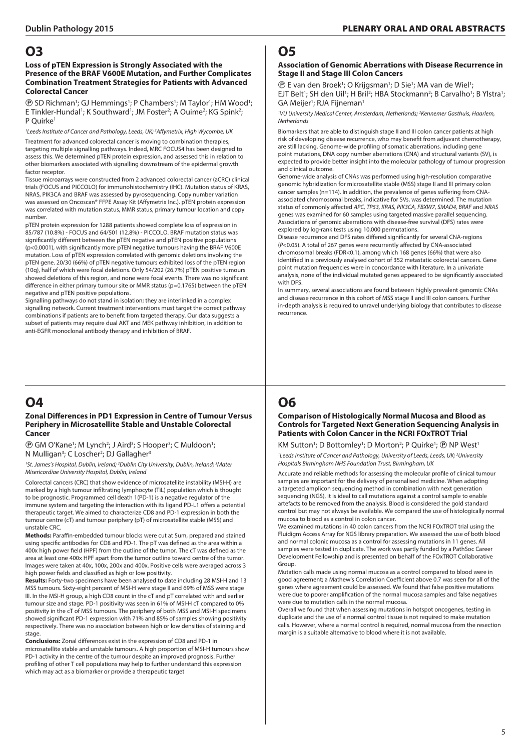#### **Loss of pTEN Expression is Strongly Associated with the Presence of the BRAF V600E Mutation, and Further Complicates Combination Treatment Strategies for Patients with Advanced Colorectal Cancer**

**(B)** SD Richman<sup>1</sup>; GJ Hemmings<sup>1</sup>; P Chambers<sup>1</sup>; M Taylor<sup>1</sup>; HM Wood<sup>1</sup>; E Tinkler-Hundal<sup>1</sup>; K Southward<sup>1</sup>; JM Foster<sup>2</sup>; A Ouime<sup>2</sup>; KG Spink<sup>2</sup>; P Quirke<sup>1</sup>

*1 Leeds Institute of Cancer and Pathology, Leeds, UK; 2 Affymetrix, High Wycombe, UK*

Treatment for advanced colorectal cancer is moving to combination therapies, targeting multiple signalling pathways. Indeed, MRC FOCUS4 has been designed to assess this. We determined pTEN protein expression, and assessed this in relation to other biomarkers associated with signalling downstream of the epidermal growth factor receptor.

Tissue microarrays were constructed from 2 advanced colorectal cancer (aCRC) clinical trials (FOCUS and PICCOLO) for immunohistochemistry (IHC). Mutation status of KRAS, NRAS, PIK3CA and BRAF was assessed by pyrosequencing. Copy number variation was assessed on Oncoscan® FFPE Assay Kit (Affymetrix Inc.). pTEN protein expression was correlated with mutation status, MMR status, primary tumour location and copy number.

pTEN protein expression for 1288 patients showed complete loss of expression in 85/787 (10.8%) - FOCUS and 64/501 (12.8%) - PICCOLO. BRAF mutation status was significantly different between the pTEN negative and pTEN positive populations (p<0.0001), with significantly more pTEN negative tumours having the BRAF V600E mutation. Loss of pTEN expression correlated with genomic deletions involving the pTEN gene. 20/30 (66%) of pTEN negative tumours exhibited loss of the pTEN region (10q), half of which were focal deletions. Only 54/202 (26.7%) pTEN positive tumours showed deletions of this region, and none were focal events. There was no significant difference in either primary tumour site or MMR status (p=0.1765) between the pTEN negative and pTEN positive populations.

Signalling pathways do not stand in isolation; they are interlinked in a complex signalling network. Current treatment interventions must target the correct pathway combinations if patients are to benefit from targeted therapy. Our data suggests a subset of patients may require dual AKT and MEK pathway inhibition, in addition to anti-EGFR monoclonal antibody therapy and inhibition of BRAF.

# **O4**

#### **Zonal Differences in PD1 Expression in Centre of Tumour Versus Periphery in Microsatellite Stable and Unstable Colorectal Cancer**

*<b>@* GM O'Kane<sup>1</sup>; M Lynch<sup>2</sup>; J Aird<sup>3</sup>; S Hooper<sup>3</sup>; C Muldoon<sup>1</sup>; N Mulligan<sup>3</sup>; C Loscher<sup>2</sup>; DJ Gallagher<sup>3</sup>

<sup>1</sup>St. James's Hospital, Dublin, Ireland; <sup>2</sup>Dublin City University, Dublin, Ireland; <sup>3</sup>Mater *Misericordiae University Hospital, Dublin, Ireland*

Colorectal cancers (CRC) that show evidence of microsatellite instability (MSI-H) are marked by a high tumour infiltrating lymphocyte (TiL) population which is thought to be prognostic. Programmed cell death 1(PD-1) is a negative regulator of the immune system and targeting the interaction with its ligand PD-L1 offers a potential therapeutic target. We aimed to characterize CD8 and PD-1 expression in both the tumour centre (cT) and tumour periphery (pT) of microsatellite stable (MSS) and unstable CRC.

**Methods:** Paraffin-embedded tumour blocks were cut at 5um, prepared and stained using specific antibodies for CD8 and PD-1. The pT was defined as the area within a 400x high power field (HPF) from the outline of the tumor. The cT was defined as the area at least one 400x HPF apart from the tumor outline toward centre of the tumor. Images were taken at 40x, 100x, 200x and 400x. Positive cells were averaged across 3 high power fields and classified as high or low positivity.

**Results:** Forty-two specimens have been analysed to date including 28 MSI-H and 13 MSS tumours. Sixty-eight percent of MSI-H were stage II and 69% of MSS were stage III. In the MSI-H group, a high CD8 count in the cT and pT correlated with and earlier tumour size and stage. PD-1 positivity was seen in 61% of MSI-H cT compared to 0% positivity in the cT of MSS tumours. The periphery of both MSS and MSI-H specimens showed significant PD-1 expression with 71% and 85% of samples showing positivity respectively. There was no association between high or low densities of staining and stage.

**Conclusions:** Zonal differences exist in the expression of CD8 and PD-1 in microsatellite stable and unstable tumours. A high proportion of MSI-H tumours show PD-1 activity in the centre of the tumour despite an improved prognosis. Further profiling of other T cell populations may help to further understand this expression which may act as a biomarker or provide a therapeutic target

### **O5**

#### **Association of Genomic Aberrations with Disease Recurrence in Stage II and Stage III Colon Cancers**

**(B)** E van den Broek<sup>1</sup>; O Krijgsman<sup>1</sup>; D Sie<sup>1</sup>; MA van de Wiel<sup>1</sup>; EJT Belt<sup>1</sup>; SH den Uil<sup>1</sup>; H Bril<sup>2</sup>; HBA Stockmann<sup>2</sup>; B Carvalho<sup>1</sup>; B Ylstra<sup>1</sup>; GA Meijer<sup>1</sup>; RJA Fijneman<sup>1</sup>

*1 VU University Medical Center, Amsterdam, Netherlands; 2 Kennemer Gasthuis, Haarlem, Netherlands*

Biomarkers that are able to distinguish stage II and III colon cancer patients at high risk of developing disease recurrence, who may benefit from adjuvant chemotherapy, are still lacking. Genome-wide profiling of somatic aberrations, including gene point mutations, DNA copy number aberrations (CNA) and structural variants (SV), is expected to provide better insight into the molecular pathology of tumour progression and clinical outcome.

Genome-wide analysis of CNAs was performed using high-resolution comparative genomic hybridization for microsatellite stable (MSS) stage II and III primary colon cancer samples (n=114). In addition, the prevalence of genes suffering from CNAassociated chromosomal breaks, indicative for SVs, was determined. The mutation status of commonly affected *APC, TP53, KRAS, PIK3CA, FBXW7, SMAD4, BRAF* and *NRAS* genes was examined for 60 samples using targeted massive parallel sequencing. Associations of genomic aberrations with disease-free survival (DFS) rates were explored by log-rank tests using 10,000 permutations.

Disease recurrence and DFS rates differed significantly for several CNA-regions (*P*<0.05). A total of 267 genes were recurrently affected by CNA-associated chromosomal breaks (FDR<0.1), among which 168 genes (66%) that were also identified in a previously analysed cohort of 352 metastatic colorectal cancers. Gene point mutation frequencies were in concordance with literature. In a univariate analysis, none of the individual mutated genes appeared to be significantly associated with DFS.

In summary, several associations are found between highly prevalent genomic CNAs and disease recurrence in this cohort of MSS stage II and III colon cancers. Further in-depth analysis is required to unravel underlying biology that contributes to disease recurrence.

# **O6**

#### **Comparison of Histologically Normal Mucosa and Blood as Controls for Targeted Next Generation Sequencing Analysis in Patients with Colon Cancer in the NCRI FOxTROT Trial**

#### KM Sutton<sup>1</sup>; D Bottomley<sup>1</sup>; D Morton<sup>2</sup>; P Quirke<sup>1</sup>; *@* **NP West<sup>1</sup>**

<sup>1</sup> Leeds Institute of Cancer and Pathology, University of Leeds, Leeds, UK;<sup>2</sup> University *Hospitals Birmingham NHS Foundation Trust, Birmingham, UK*

Accurate and reliable methods for assessing the molecular profile of clinical tumour samples are important for the delivery of personalised medicine. When adopting a targeted amplicon sequencing method in combination with next generation sequencing (NGS), it is ideal to call mutations against a control sample to enable artefacts to be removed from the analysis. Blood is considered the gold standard control but may not always be available. We compared the use of histologically normal mucosa to blood as a control in colon cancer.

We examined mutations in 40 colon cancers from the NCRI FOxTROT trial using the Fluidigm Access Array for NGS library preparation. We assessed the use of both blood and normal colonic mucosa as a control for assessing mutations in 11 genes. All samples were tested in duplicate. The work was partly funded by a PathSoc Career Development Fellowship and is presented on behalf of the FOxTROT Collaborative Group.

Mutation calls made using normal mucosa as a control compared to blood were in good agreement; a Mathew's Correlation Coefficient above 0.7 was seen for all of the genes where agreement could be assessed. We found that false positive mutations were due to poorer amplification of the normal mucosa samples and false negatives were due to mutation calls in the normal mucosa.

Overall we found that when assessing mutations in hotspot oncogenes, testing in duplicate and the use of a normal control tissue is not required to make mutation calls. However, where a normal control is required, normal mucosa from the resection margin is a suitable alternative to blood where it is not available.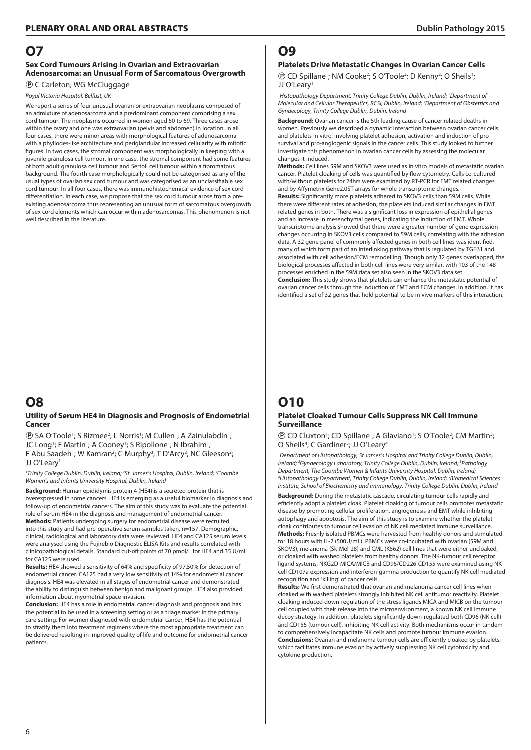#### **Sex Cord Tumours Arising in Ovarian and Extraovarian Adenosarcoma: an Unusual Form of Sarcomatous Overgrowth**

P C Carleton; WG McCluggage

*Royal Victoria Hospital, Belfast, UK*

We report a series of four unusual ovarian or extraovarian neoplasms composed of an admixture of adenosarcoma and a predominant component comprising a sex cord tumour. The neoplasms occurred in women aged 50 to 69. Three cases arose within the ovary and one was extraovarian (pelvis and abdomen) in location. In all four cases, there were minor areas with morphological features of adenosarcoma with a phyllodes-like architecture and periglandular increased cellularity with mitotic figures. In two cases, the stromal component was morphologically in keeping with a juvenile granulosa cell tumour. In one case, the stromal component had some features of both adult granulosa cell tumour and Sertoli cell tumour within a fibromatous background. The fourth case morphologically could not be categorised as any of the usual types of ovarian sex cord tumour and was categorised as an unclassifiable sex cord tumour. In all four cases, there was immunohistochemical evidence of sex cord differentiation. In each case, we propose that the sex cord tumour arose from a preexisting adenosarcoma thus representing an unusual form of sarcomatous overgrowth of sex cord elements which can occur within adenosarcomas. This phenomenon is not well described in the literature.

# **O8**

#### **Utility of Serum HE4 in Diagnosis and Prognosis of Endometrial Cancer**

**(B)** SA O'Toole<sup>1</sup>; S Rizmee<sup>2</sup>; L Norris<sup>1</sup>; M Cullen<sup>1</sup>; A Zainulabdin<sup>1</sup>; JC Long<sup>1</sup>; F Martin<sup>1</sup>; A Cooney<sup>1</sup>; S Ripollone<sup>1</sup>; N Ibrahim<sup>1</sup>; F Abu Saadeh<sup>1</sup>; W Kamran<sup>2</sup>; C Murphy<sup>3</sup>; T D'Arcy<sup>2</sup>; NC Gleeson<sup>2</sup>; JJ O'Leary1

<sup>1</sup>Trinity College Dublin, Dublin, Ireland; <sup>2</sup>St. James's Hospital, Dublin, Ireland; <sup>3</sup>Coombe *Women's and Infants University Hospital, Dublin, Ireland*

**Background:** Human epididymis protein 4 (HE4) is a secreted protein that is overexpressed in some cancers. HE4 is emerging as a useful biomarker in diagnosis and follow-up of endometrial cancers. The aim of this study was to evaluate the potential role of serum HE4 in the diagnosis and management of endometrial cancer. **Methods:** Patients undergoing surgery for endometrial disease were recruited into this study and had pre-operative serum samples taken, n=157. Demographic, clinical, radiological and laboratory data were reviewed. HE4 and CA125 serum levels were analysed using the Fujirebio Diagnostic ELISA Kits and results correlated with clinicopathological details. Standard cut-off points of 70 pmol/L for HE4 and 35 U/ml for CA125 were used.

**Results:** HE4 showed a sensitivity of 64% and specificity of 97.50% for detection of endometrial cancer. CA125 had a very low sensitivity of 14% for endometrial cancer diagnosis. HE4 was elevated in all stages of endometrial cancer and demonstrated the ability to distinguish between benign and malignant groups. HE4 also provided information about myometrial space invasion.

**Conclusion:** HE4 has a role in endometrial cancer diagnosis and prognosis and has the potential to be used in a screening setting or as a triage marker in the primary care setting. For women diagnosed with endometrial cancer, HE4 has the potential to stratify them into treatment regimens where the most appropriate treatment can be delivered resulting in improved quality of life and outcome for endometrial cancer patients.

# **O9**

#### **Platelets Drive Metastatic Changes in Ovarian Cancer Cells**

**(B)** CD Spillane<sup>1</sup>; NM Cooke<sup>2</sup>; S O'Toole<sup>3</sup>; D Kenny<sup>2</sup>; O Sheils<sup>1</sup>; JJ O'Leary<sup>1</sup>

<sup>1</sup> Histopathology Department, Trinity College Dublin, Dublin, Ireland; <sup>2</sup> Department of *Molecular and Cellular Therapeutics, RCSI, Dublin, Ireland; 3 Department of Obstetrics and Gynaecology, Trinity College Dublin, Dublin, Ireland*

**Background:** Ovarian cancer is the 5th leading cause of cancer related deaths in women. Previously we described a dynamic interaction between ovarian cancer cells and platelets in vitro, involving platelet adhesion, activation and induction of prosurvival and pro-angiogenic signals in the cancer cells. This study looked to further investigate this phenomenon in ovarian cancer cells by assessing the molecular changes it induced.

**Methods:** Cell lines 59M and SKOV3 were used as in vitro models of metastatic ovarian cancer. Platelet cloaking of cells was quantified by flow cytometry. Cells co-cultured with/without platelets for 24hrs were examined by RT-PCR for EMT related changes and by Affymetrix Gene2.0ST arrays for whole transcriptome changes.

**Results:** Significantly more platelets adhered to SKOV3 cells than 59M cells. While there were different rates of adhesion, the platelets induced similar changes in EMT related genes in both. There was a significant loss in expression of epithelial genes and an increase in mesenchymal genes, indicating the induction of EMT. Whole transcriptome analysis showed that there were a greater number of gene expression changes occurring in SKOV3 cells compared to 59M cells, correlating with the adhesion data. A 32 gene panel of commonly affected genes in both cell lines was identified, many of which form part of an interlinking pathway that is regulated by TGFβ1 and associated with cell adhesion/ECM remodelling. Though only 32 genes overlapped, the biological processes affected in both cell lines were very similar, with 103 of the 148 processes enriched in the 59M data set also seen in the SKOV3 data set.

**Conclusion:** This study shows that platelets can enhance the metastatic potential of ovarian cancer cells through the induction of EMT and ECM changes. In addition, it has identified a set of 32 genes that hold potential to be in vivo markers of this interaction.

# **O10**

#### **Platelet Cloaked Tumour Cells Suppress NK Cell Immune Surveillance**

**(B)** CD Cluxton<sup>1</sup>; CD Spillane<sup>1</sup>; A Glaviano<sup>1</sup>; S O'Toole<sup>2</sup>; CM Martin<sup>3</sup>; O Sheils<sup>4</sup>; C Gardiner<sup>5</sup>; JJ O'Leary<sup>4</sup>

<sup>1</sup>Department of Histopathology, St James's Hospital and Trinity College Dublin, Dublin, *Ireland; 2 Gynaecology Laboratory, Trinity College Dublin, Dublin, Ireland; 3 Pathology Department, The Coombe Women & Infants University Hospital, Dublin, Ireland; 4 Histopathology Department, Trinity College Dublin, Dublin, Ireland; 5 Biomedical Sciences Institute, School of Biochemistry and Immunology, Trinity College Dublin, Dublin, Ireland*

**Background:** During the metastatic cascade, circulating tumour cells rapidly and efficiently adopt a platelet cloak. Platelet cloaking of tumour cells promotes metastatic disease by promoting cellular proliferation, angiogenesis and EMT while inhibiting autophagy and apoptosis. The aim of this study is to examine whether the platelet cloak contributes to tumour cell evasion of NK cell mediated immune surveillance. **Methods:** Freshly isolated PBMCs were harvested from healthy donors and stimulated for 18 hours with IL-2 (500U/mL). PBMCs were co-incubated with ovarian (59M and SKOV3), melanoma (Sk-Mel-28) and CML (K562) cell lines that were either uncloaked, or cloaked with washed platelets from healthy donors. The NK-tumour cell receptor ligand systems, NKG2D-MICA/MICB and CD96/CD226-CD155 were examined using NK cell CD107a expression and interferon-gamma production to quantify NK cell mediated recognition and 'killing' of cancer cells.

**Results:** We first demonstrated that ovarian and melanoma cancer cell lines when cloaked with washed platelets strongly inhibited NK cell antitumor reactivity. Platelet cloaking induced down-regulation of the stress ligands MICA and MICB on the tumour cell coupled with their release into the microenvironment, a known NK cell immune decoy strategy. In addition, platelets significantly down-regulated both CD96 (NK cell) and CD155 (tumour cell), inhibiting NK cell activity. Both mechanisms occur in tandem to comprehensively incapacitate NK cells and promote tumour immune evasion. **Conclusions:** Ovarian and melanoma tumour cells are efficiently cloaked by platelets, which facilitates immune evasion by actively suppressing NK cell cytotoxicity and cytokine production.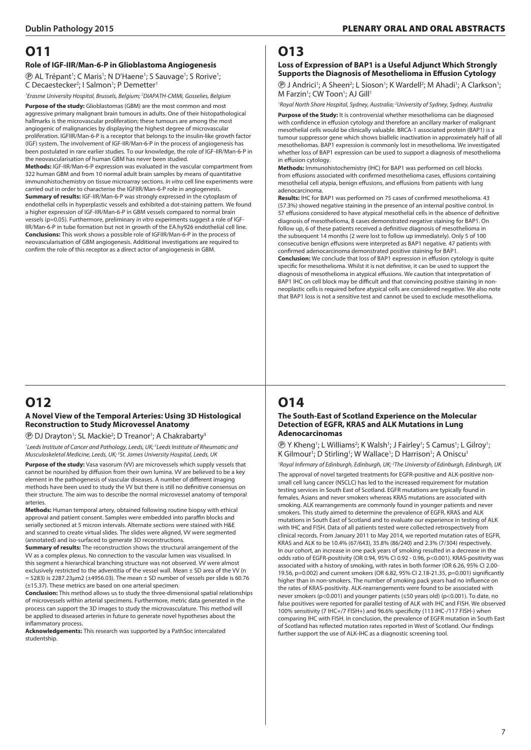#### **Role of IGF-IIR/Man-6-P in Glioblastoma Angiogenesis**

<sup>(*D*</sup> AL Trépant<sup>1</sup>; C Maris<sup>1</sup>; N D'Haene<sup>1</sup>; S Sauvage<sup>1</sup>; S Rorive<sup>1</sup>; C Decaestecker<sup>2</sup>; I Salmon<sup>1</sup>; P Demetter<sup>1</sup>

*1 Erasme University Hospital, Brussels, Belgium; 2 DIAPATH-CMMI, Gosselies, Belgium*

**Purpose of the study:** Glioblastomas (GBM) are the most common and most aggressive primary malignant brain tumours in adults. One of their histopathological hallmarks is the microvascular proliferation; these tumours are among the most angiogenic of malignancies by displaying the highest degree of microvascular proliferation. IGFIIR/Man-6-P is a receptor that belongs to the insulin-like growth factor (IGF) system. The involvement of IGF-IIR/Man-6-P in the process of angiogenesis has been postulated in rare earlier studies. To our knowledge, the role of IGF-IIR/Man-6-P in the neovascularisation of human GBM has never been studied.

**Methods:** IGF-IIR/Man-6-P expression was evaluated in the vascular compartment from 322 human GBM and from 10 normal adult brain samples by means of quantitative immunohistochemistry on tissue microarray sections. *In vitro* cell line experiments were carried out in order to characterise the IGFIIR/Man-6-P role in angiogenesis.

**Summary of results:** IGF-IIR/Man-6-P was strongly expressed in the cytoplasm of endothelial cells in hyperplastic vessels and exhibited a dot-staining pattern. We found a higher expression of IGF-IIR/Man-6-P in GBM vessels compared to normal brain vessels (p=0.05). Furthermore, preliminary *in vitro* experiments suggest a role of IGF-IIR/Man-6-P in tube formation but not in growth of the EA.hy926 endothelial cell line. **Conclusions:** This work shows a possible role of IGFIIR/Man-6-P in the process of neovascularisation of GBM angiogenesis. Additional investigations are required to confirm the role of this receptor as a direct actor of angiogenesis in GBM.

# **O12**

#### **A Novel View of the Temporal Arteries: Using 3D Histological Reconstruction to Study Microvessel Anatomy**

**<sup>®</sup> DJ Drayton<sup>1</sup>; SL Mackie<sup>2</sup>; D Treanor<sup>1</sup>; A Chakrabarty<sup>3</sup>** 

<sup>1</sup> Leeds Institute of Cancer and Pathology, Leeds, UK; <sup>2</sup> Leeds Institute of Rheumatic and *Musculoskeletal Medicine, Leeds, UK; 3 St. James University Hospital, Leeds, UK*

**Purpose of the study:** Vasa vasorum (VV) are microvessels which supply vessels that cannot be nourished by diffusion from their own lumina. VV are believed to be a key element in the pathogenesis of vascular diseases. A number of different imaging methods have been used to study the VV but there is still no definitive consensus on their structure. The aim was to describe the normal microvessel anatomy of temporal arteries.

**Methods:** Human temporal artery, obtained following routine biopsy with ethical approval and patient consent. Samples were embedded into paraffin blocks and serially sectioned at 5 micron intervals. Alternate sections were stained with H&E and scanned to create virtual slides. The slides were aligned, VV were segmented (annotated) and iso-surfaced to generate 3D reconstructions.

**Summary of results:** The reconstruction shows the structural arrangement of the VV as a complex plexus. No connection to the vascular lumen was visualised. In this segment a hierarchical branching structure was not observed. VV were almost exclusively restricted to the adventitia of the vessel wall. Mean  $\pm$  SD area of the VV (n  $= 5283$ ) is 2287.23µm2 (±4956.03). The mean  $\pm$  SD number of vessels per slide is 60.76 (±15.37). These metrics are based on one arterial specimen.

**Conclusion:** This method allows us to study the three-dimensional spatial relationships of microvessels within arterial specimens. Furthermore, metric data generated in the process can support the 3D images to study the microvasculature. This method will be applied to diseased arteries in future to generate novel hypotheses about the inflammatory process.

**Acknowledgements:** This research was supported by a PathSoc intercalated studentship.

# **O13**

#### **Loss of Expression of BAP1 is a Useful Adjunct Which Strongly Supports the Diagnosis of Mesothelioma in Effusion Cytology**

**(B)** J Andrici<sup>1</sup>; A Sheen<sup>2</sup>; L Sioson<sup>1</sup>; K Wardell<sup>2</sup>; M Ahadi<sup>1</sup>; A Clarkson<sup>1</sup>; M Farzin<sup>1</sup>; CW Toon<sup>1</sup>; AJ Gill<sup>1</sup>

*1 Royal North Shore Hospital, Sydney, Australia; 2 University of Sydney, Sydney, Australia* **Purpose of the Study:** It is controversial whether mesothelioma can be diagnosed with confidence in effusion cytology and therefore an ancillary marker of malignant mesothelial cells would be clinically valuable. BRCA-1 associated protein (BAP1) is a tumour suppressor gene which shows biallelic inactivation in approximately half of all mesotheliomas. BAP1 expression is commonly lost in mesothelioma. We investigated whether loss of BAP1 expression can be used to support a diagnosis of mesothelioma in effusion cytology.

**Methods:** Immunohistochemistry (IHC) for BAP1 was performed on cell blocks from effusions associated with confirmed mesothelioma cases, effusions containing mesothelial cell atypia, benign effusions, and effusions from patients with lung adenocarcinoma.

**Results:** IHC for BAP1 was performed on 75 cases of confirmed mesothelioma. 43 (57.3%) showed negative staining in the presence of an internal positive control. In 57 effusions considered to have atypical mesothelial cells in the absence of definitive diagnosis of mesothelioma, 8 cases demonstrated negative staining for BAP1. On follow up, 6 of these patients received a definitive diagnosis of mesothelioma in the subsequent 14 months (2 were lost to follow up immediately). Only 5 of 100 consecutive benign effusions were interpreted as BAP1 negative. 47 patients with confirmed adenocarcinoma demonstrated positive staining for BAP1.

**Conclusion:** We conclude that loss of BAP1 expression in effusion cytology is quite specific for mesothelioma. Whilst it is not definitive, it can be used to support the diagnosis of mesothelioma in atypical effusions. We caution that interpretation of BAP1 IHC on cell block may be difficult and that convincing positive staining in nonneoplastic cells is required before atypical cells are considered negative. We also note that BAP1 loss is not a sensitive test and cannot be used to exclude mesothelioma.

# **O14**

#### **The South-East of Scotland Experience on the Molecular Detection of EGFR, KRAS and ALK Mutations in Lung Adenocarcinomas**

**(B)** Y Kheng<sup>1</sup>; L Williams<sup>2</sup>; K Walsh<sup>1</sup>; J Fairley<sup>1</sup>; S Camus<sup>1</sup>; L Gilroy<sup>1</sup>; K Gilmour<sup>1</sup>; D Stirling<sup>1</sup>; W Wallace<sup>1</sup>; D Harrison<sup>1</sup>; A Oniscu<sup>1</sup>

*1 Royal Infirmary of Edinburgh, Edinburgh, UK; 2 The University of Edinburgh, Edinburgh, UK* The approval of novel targeted treatments for EGFR-positive and ALK-positive nonsmall cell lung cancer (NSCLC) has led to the increased requirement for mutation testing services in South East of Scotland. EGFR mutations are typically found in females, Asians and never smokers whereas KRAS mutations are associated with smoking. ALK rearrangements are commonly found in younger patients and never smokers. This study aimed to determine the prevalence of EGFR, KRAS and ALK mutations in South East of Scotland and to evaluate our experience in testing of ALK with IHC and FISH. Data of all patients tested were collected retrospectively from clinical records. From January 2011 to May 2014, we reported mutation rates of EGFR, KRAS and ALK to be 10.4% (67/643), 35.8% (86/240) and 2.3% (7/304) respectively. In our cohort, an increase in one pack years of smoking resulted in a decrease in the odds ratio of EGFR-positivity (OR 0.94, 95% CI 0.92 - 0.96, p<0.001). KRAS-positivity was associated with a history of smoking, with rates in both former (OR 6.26, 95% CI 2.00- 19.56, p=0.002) and current smokers (OR 6.82, 95% CI 2.18-21.35, p=0.001) significantly higher than in non-smokers. The number of smoking pack years had no influence on the rates of KRAS-positivity. ALK-rearrangements were found to be associated with never smokers (p<0.001) and younger patients (≤50 years old) (p<0.001). To date, no false positives were reported for parallel testing of ALK with IHC and FISH. We observed 100% sensitivity (7 IHC+/7 FISH+) and 96.6% specificity (113 IHC-/117 FISH-) when comparing IHC with FISH. In conclusion, the prevalence of EGFR mutation in South East of Scotland has reflected mutation rates reported in West of Scotland. Our findings further support the use of ALK-IHC as a diagnostic screening tool.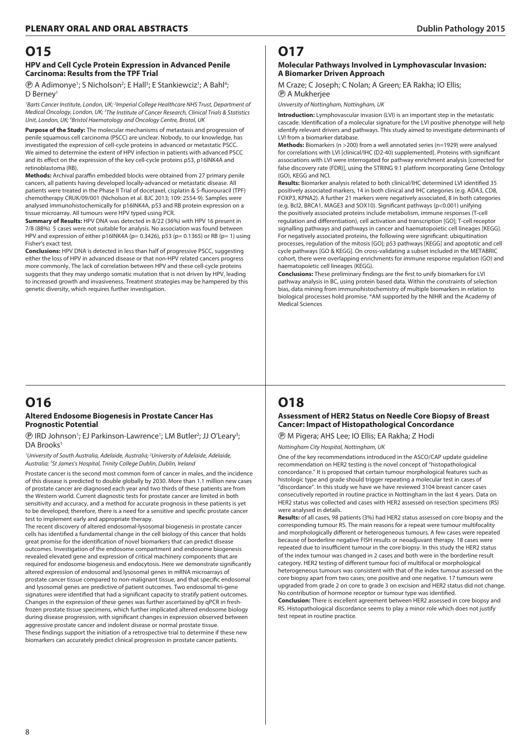#### **HPV and Cell Cycle Protein Expression in Advanced Penile Carcinoma: Results from the TPF Trial**

*<b>@* A Adimonye<sup>1</sup>; S Nicholson<sup>2</sup>; E Hall<sup>3</sup>; E Stankiewciz<sup>1</sup>; A Bahl<sup>4</sup>; D Berney<sup>1</sup>

<sup>1</sup> Barts Cancer Institute, London, UK; <sup>2</sup> Imperial College Healthcare NHS Trust, Department of *Medical Oncology, London, UK; 3 The Institute of Cancer Research, Clinical Trials & Statistics Unit, London, UK; 4 Bristol Haematology and Oncology Centre, Bristol, UK*

**Purpose of the Study:** The molecular mechanisms of metastasis and progression of penile squamous cell carcinoma (PSCC) are unclear. Nobody, to our knowledge, has investigated the expression of cell-cycle proteins in advanced or metastatic PSCC. We aimed to determine the extent of HPV infection in patients with advanced PSCC and its effect on the expression of the key cell-cycle proteins p53, p16INK4A and retinoblastoma (RB).

**Methods:** Archival paraffin embedded blocks were obtained from 27 primary penile cancers, all patients having developed locally-advanced or metastatic disease. All patients were treated in the Phase II Trial of docetaxel, cisplatin & 5-fluorouracil (TPF) chemotherapy CRUK/09/001 (Nicholson et al. BJC 2013; 109: 2554-9). Samples were analysed immunohistochemically for p16INK4A, p53 and RB protein expression on a tissue microarray. All tumours were HPV typed using PCR.

**Summary of Results:** HPV DNA was detected in 8/22 (36%) with HPV 16 present in 7/8 (88%). 5 cases were not suitable for analysis. No association was found between HPV and expression of either p16INK4A (p= 0.3426), p53 (p= 0.1365) or RB (p= 1) using Fisher's exact test.

**Conclusions:** HPV DNA is detected in less than half of progressive PSCC, suggesting either the loss of HPV in advanced disease or that non-HPV related cancers progress more commonly. The lack of correlation between HPV and these cell-cycle proteins suggests that they may undergo somatic mutation that is not driven by HPV, leading to increased growth and invasiveness. Treatment strategies may be hampered by this genetic diversity, which requires further investigation.

## **O17**

#### **Molecular Pathways Involved in Lymphovascular Invasion: A Biomarker Driven Approach**

M Craze; C Joseph; C Nolan; A Green; EA Rakha; IO Ellis; P A Mukherjee

*University of Nottingham, Nottingham, UK*

**Introduction:** Lymphovascular invasion (LVI) is an important step in the metastatic cascade. Identification of a molecular signature for the LVI positive phenotype will help identify relevant drivers and pathways. This study aimed to investigate determinants of LVI from a biomarker database.

**Methods:** Biomarkers (n >200) from a well annotated series (n=1929) were analysed for correlations with LVI [clinical/IHC (D2-40) supplemented]. Proteins with significant associations with LVI were interrogated for pathway enrichment analysis [corrected for false discovery rate (FDR)], using the STRING 9.1 platform incorporating Gene Ontology (GO), KEGG and NCI.

**Results:** Biomarker analysis related to both clinical/IHC determined LVI identified 35 positively associated markers, 14 in both clinical and IHC categories (e.g. ADA3, CD8, FOXP3, KPNA2). A further 21 markers were negatively associated, 8 in both categories (e.g. Bcl2, BRCA1, MAGE3 and SOX10). Significant pathways (p<0.001) unifying the positively associated proteins include metabolism, immune responses (T-cell regulation and differentiation), cell activation and transcription [GO]; T-cell receptor signalling pathways and pathways in cancer and haematopoietic cell lineages [KEGG]. For negatively associated proteins, the following were significant: ubiquitination processes, regulation of the mitosis [GO]; p53 pathways [KEGG] and apoptotic and cell cycle pathways [GO & KEGG]. On cross-validating a subset included in the METABRIC cohort, there were overlapping enrichments for immune response regulation (GO) and haematopoietic cell lineages (KEGG).

**Conclusions:** These preliminary findings are the first to unify biomarkers for LVI pathway analysis in BC, using protein based data. Within the constraints of selection bias, data mining from immunohistochemistry of multiple biomarkers in relation to biological processes hold promise. \*AM supported by the NIHR and the Academy of Medical Sciences

#### **O16 Altered Endosome Biogenesis in Prostate Cancer Has Prognostic Potential**

**(B)** IRD Johnson<sup>1</sup>; EJ Parkinson-Lawrence<sup>1</sup>; LM Butler<sup>2</sup>; JJ O'Leary<sup>3</sup>; DA Brooks<sup>1</sup>

*1 University of South Australia, Adelaide, Australia; 2 University of Adelaide, Adelaide, Australia; 3 St James's Hospital, Trinity College Dublin, Dublin, Ireland*

Prostate cancer is the second most common form of cancer in males, and the incidence of this disease is predicted to double globally by 2030. More than 1.1 million new cases of prostate cancer are diagnosed each year and two thirds of these patients are from the Western world. Current diagnostic tests for prostate cancer are limited in both sensitivity and accuracy, and a method for accurate prognosis in these patients is yet to be developed; therefore, there is a need for a sensitive and specific prostate cancer test to implement early and appropriate therapy.

The recent discovery of altered endosomal-lysosomal biogenesis in prostate cancer cells has identified a fundamental change in the cell biology of this cancer that holds great promise for the identification of novel biomarkers that can predict disease outcomes. Investigation of the endosome compartment and endosome biogenesis revealed elevated gene and expression of critical machinery components that are required for endosome biogenesis and endocytosis. Here we demonstrate significantly altered expression of endosomal and lysosomal genes in mRNA microarrays of prostate cancer tissue compared to non-malignant tissue, and that specific endosomal and lysosomal genes are predictive of patient outcomes. Two endosomal tri-gene signatures were identified that had a significant capacity to stratify patient outcomes. Changes in the expression of these genes was further ascertained by qPCR in freshfrozen prostate tissue specimens, which further implicated altered endosome biology during disease progression, with significant changes in expression observed between aggressive prostate cancer and indolent disease or normal prostate tissue. These findings support the initiation of a retrospective trial to determine if these new biomarkers can accurately predict clinical progression in prostate cancer patients.

# **O18**

#### **Assessment of HER2 Status on Needle Core Biopsy of Breast Cancer: Impact of Histopathological Concordance**

P M Pigera; AHS Lee; IO Ellis; EA Rakha; Z Hodi

*Nottingham City Hospital, Nottingham, UK*

One of the key recommendations introduced in the ASCO/CAP update guideline recommendation on HER2 testing is the novel concept of "histopathological concordance." It is proposed that certain tumour morphological features such as histologic type and grade should trigger repeating a molecular test in cases of "discordance". In this study we have we have reviewed 3104 breast cancer cases consecutively reported in routine practice in Nottingham in the last 4 years. Data on HER2 status was collected and cases with HER2 assessed on resection specimens (RS) were analysed in details.

**Results:** of all cases, 98 patients (3%) had HER2 status assessed on core biopsy and the corresponding tumour RS. The main reasons for a repeat were tumour multifocality and morphologically different or heterogeneous tumours. A few cases were repeated because of borderline negative FISH results or neoadjuvant therapy. 18 cases were repeated due to insufficient tumour in the core biopsy. In this study the HER2 status of the index tumour was changed in 2 cases and both were in the borderline result category. HER2 testing of different tumour foci of multifocal or morphological heterogeneous tumours was consistent with that of the index tumour assessed on the core biopsy apart from two cases; one positive and one negative. 17 tumours were upgraded from grade 2 on core to grade 3 on excision and HER2 status did not change. No contribution of hormone receptor or tumour type was identified. **Conclusion:** There is excellent agreement between HER2 assessed in core biopsy and RS. Histopathological discordance seems to play a minor role which does not justify test repeat in routine practice.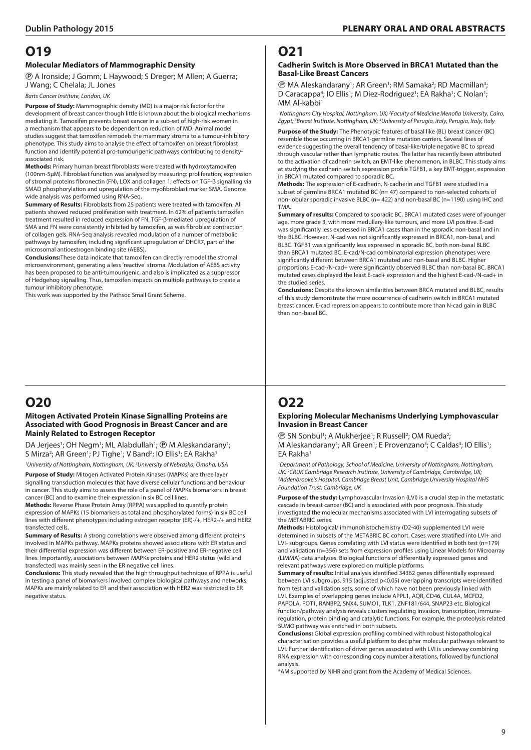#### **Molecular Mediators of Mammographic Density**

P A Ironside; J Gomm; L Haywood; S Dreger; M Allen; A Guerra; J Wang; C Chelala; JL Jones

*Barts Cancer Institute, London, UK*

**Purpose of Study:** Mammographic density (MD) is a major risk factor for the development of breast cancer though little is known about the biological mechanisms mediating it. Tamoxifen prevents breast cancer in a sub-set of high-risk women in a mechanism that appears to be dependent on reduction of MD. Animal model studies suggest that tamoxifen remodels the mammary stroma to a tumour-inhibitory phenotype. This study aims to analyse the effect of tamoxifen on breast fibroblast function and identify potential pro-tumourigenic pathways contributing to densityassociated risk.

**Methods:** Primary human breast fibroblasts were treated with hydroxytamoxifen (100nm-5µM). Fibroblast function was analysed by measuring: proliferation; expression of stromal proteins fibronectin (FN), LOX and collagen 1; effects on TGF-β signalling via SMAD phosphorylation and upregulation of the myofibroblast marker SMA. Genome wide analysis was performed using RNA-Seq.

**Summary of Results:** Fibroblasts from 25 patients were treated with tamoxifen. All patients showed reduced proliferation with treatment. In 62% of patients tamoxifen treatment resulted in reduced expression of FN. TGF-β-mediated upregulation of SMA and FN were consistently inhibited by tamoxifen, as was fibroblast contraction of collagen gels. RNA-Seq analysis revealed modulation of a number of metabolic pathways by tamoxifen, including significant upregulation of DHCR7, part of the microsomal antioestrogen binding site (AEBS).

**Conclusions:**These data indicate that tamoxifen can directly remodel the stromal microenvironment, generating a less 'reactive' stroma. Modulation of AEBS activity has been proposed to be anti-tumourigenic, and also is implicated as a suppressor of Hedgehog signalling. Thus, tamoxifen impacts on multiple pathways to create a tumour inhibitory phenotype.

This work was supported by the Pathsoc Small Grant Scheme.

## **O20**

#### **Mitogen Activated Protein Kinase Signalling Proteins are Associated with Good Prognosis in Breast Cancer and are Mainly Related to Estrogen Receptor**

DA Jerjees<sup>1</sup>; OH Negm<sup>1</sup>; ML Alabdullah<sup>1</sup>; <sup>®</sup> M Aleskandarany<sup>1</sup>; S Mirza<sup>2</sup>; AR Green<sup>1</sup>; PJ Tighe<sup>1</sup>; V Band<sup>2</sup>; IO Ellis<sup>1</sup>; EA Rakha<sup>1</sup>

*1 University of Nottingham, Nottingham, UK; 2 University of Nebraska, Omaha, USA* **Purpose of Study:** Mitogen Activated Protein Kinases (MAPKs) are three layer signalling transduction molecules that have diverse cellular functions and behaviour in cancer. This study aims to assess the role of a panel of MAPKs biomarkers in breast cancer (BC) and to examine their expression in six BC cell lines.

**Methods:** Reverse Phase Protein Array (RPPA) was applied to quantify protein expression of MAPKs (15 biomarkers as total and phosphorylated forms) in six BC cell lines with different phenotypes including estrogen receptor (ER)-/+, HER2-/+ and HER2 transfected cells.

**Summary of Results:** A strong correlations were observed among different proteins involved in MAPKs pathway. MAPKs proteins showed associations with ER status and their differential expression was different between ER-positive and ER-negative cell lines. Importantly, associations between MAPKs proteins and HER2 status (wild and transfected) was mainly seen in the ER negative cell lines.

**Conclusions:** This study revealed that the high throughput technique of RPPA is useful in testing a panel of biomarkers involved complex biological pathways and networks. MAPKs are mainly related to ER and their association with HER2 was restricted to ER negative status.

### **O21**

#### **Cadherin Switch is More Observed in BRCA1 Mutated than the Basal-Like Breast Cancers**

**(B)** MA Aleskandarany<sup>1</sup>; AR Green<sup>1</sup>; RM Samaka<sup>2</sup>; RD Macmillan<sup>3</sup>; D Caracappa<sup>4</sup>; IO Ellis<sup>1</sup>; M Diez-Rodriguez<sup>1</sup>; EA Rakha<sup>1</sup>; C Nolan<sup>1</sup>; MM Al-kabbi<sup>1</sup>

*1 Nottingham City Hospital, Nottingham, UK; 2 Faculty of Medicine Menofia University, Cairo, Egypt; 3 Breast Institute, Nottingham, UK; 4 University of Perugia, italy, Perugia, Italy, Italy*

**Purpose of the Study:** The Phenotypic features of basal like (BL) breast cancer (BC) resemble those occurring in BRCA1-germline mutation carriers. Several lines of evidence suggesting the overall tendency of basal-like/triple negative BC to spread through vascular rather than lymphatic routes. The latter has recently been attributed to the activation of cadherin switch, an EMT-like phenomenon, in BLBC. This study aims at studying the cadherin switch expression profile TGFB1, a key EMT-trigger, expression in BRCA1 mutated compared to sporadic BC.

**Methods:** The expression of E-cadherin, N-cadherin and TGFB1 were studied in a subset of germline BRCA1 mutated BC (n= 47) compared to non-selected cohorts of non-lobular sporadic invasive BLBC (n= 422) and non-basal BC (n=1190) using IHC and TMA.

**Summary of results:** Compared to sporadic BC, BRCA1 mutated cases were of younger age, more grade 3, with more medullary-like tumours, and more LVI positive. E-cad was significantly less expressed in BRCA1 cases than in the sporadic non-basal and in the BLBC. However, N-cad was not significantly expressed in BRCA1, non-basal, and BLBC. TGFB1 was significantly less expressed in sporadic BC, both non-basal BLBC than BRCA1 mutated BC. E-cad/N-cad combinatorial expression phenotypes were significantly different between BRCA1 mutated and non-basal and BLBC. Higher proportions E-cad-/N-cad+ were significantly observed BLBC than non-basal BC. BRCA1 mutated cases displayed the least E-cad+ expression and the highest E-cad-/N-cad+ in the studied series.

**Conclusions:** Despite the known similarities between BRCA mutated and BLBC, results of this study demonstrate the more occurrence of cadherin switch in BRCA1 mutated breast cancer. E-cad repression appears to contribute more than N-cad gain in BLBC than non-basal BC.

# **O22**

#### **Exploring Molecular Mechanisms Underlying Lymphovascular Invasion in Breast Cancer**

**(B)** SN Sonbul<sup>1</sup>; A Mukherjee<sup>1</sup>; R Russell<sup>2</sup>; OM Rueda<sup>2</sup>; M Aleskandarany<sup>1</sup>; AR Green<sup>1</sup>; E Provenzano<sup>3</sup>; C Caldas<sup>3</sup>; IO Ellis<sup>1</sup>; EA Rakha1

*1 Department of Pathology, School of Medicine, University of Nottingham, Nottingham,*  UK; <sup>2</sup>CRUK Cambridge Research Institute, University of Cambridge, Cambridge, UK;<br><sup>3</sup>Addenbrooke's Hospital, Cambridge Breast Unit, Cambridge University Hospital N *Addenbrooke's Hospital, Cambridge Breast Unit, Cambridge University Hospital NHS Foundation Trust, Cambridge, UK*

**Purpose of the study:** Lymphovascular Invasion (LVI) is a crucial step in the metastatic cascade in breast cancer (BC) and is associated with poor prognosis. This study investigated the molecular mechanisms associated with LVI interrogating subsets of the METABRIC series.

**Methods:** Histological/ immunohistochemistry (D2-40) supplemented LVI were determined in subsets of the METABRIC BC cohort. Cases were stratified into LVI+ and LVI- subgroups. Genes correlating with LVI status were identified in both test (n=179) and validation (n=356) sets from expression profiles using Linear Models for Microarray (LIMMA) data analyses. Biological functions of differentially expressed genes and relevant pathways were explored on multiple platforms.

**Summary of results:** Initial analysis identified 34362 genes differentially expressed between LVI subgroups. 915 (adjusted p<0.05) overlapping transcripts were identified from test and validation sets, some of which have not been previously linked with LVI. Examples of overlapping genes include APPL1, AQR, CD46, CUL4A, MCFD2,

PAPOLA, POT1, RANBP2, SNX4, SUMO1, TLK1, ZNF181/644, SNAP23 etc. Biological function/pathway analysis reveals clusters regulating invasion, transcription, immuneregulation, protein binding and catalytic functions. For example, the proteolysis related SUMO pathway was enriched in both subsets.

**Conclusions:** Global expression profiling combined with robust histopathological characterisation provides a useful platform to decipher molecular pathways relevant to LVI. Further identification of driver genes associated with LVI is underway combining RNA expression with corresponding copy number alterations, followed by functional analysis.

\*AM supported by NIHR and grant from the Academy of Medical Sciences.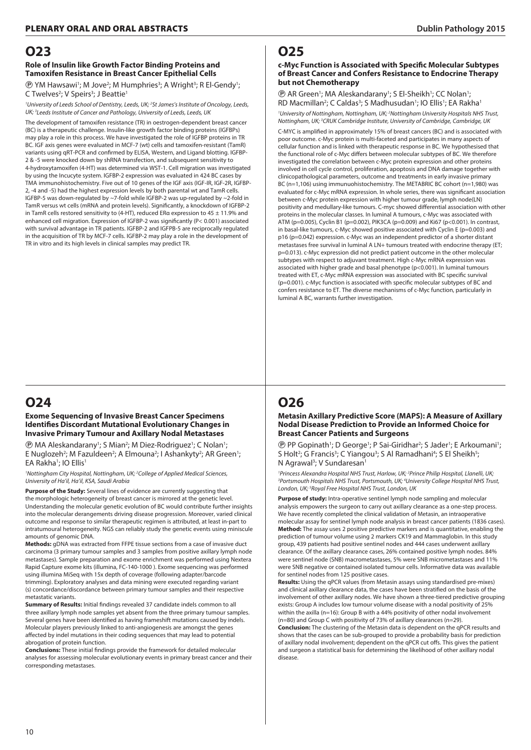#### **Role of Insulin like Growth Factor Binding Proteins and Tamoxifen Resistance in Breast Cancer Epithelial Cells**

**<sup>®</sup> YM Hawsawi<sup>1</sup>; M Jove<sup>2</sup>; M Humphries<sup>3</sup>; A Wright<sup>3</sup>; R El-Gendy<sup>1</sup>;** C Twelves<sup>2</sup>; V Speirs<sup>3</sup>; J Beattie<sup>1</sup>

*1 University of Leeds School of Dentistry, Leeds, UK; 2 St James's Institute of Oncology, Leeds, UK; 3 Leeds Institute of Cancer and Pathology, University of Leeds, Leeds, UK*

The development of tamoxifen resistance (TR) in oestrogen-dependent breast cancer (BC) is a therapeutic challenge. Insulin-like growth factor binding proteins (IGFBPs) may play a role in this process. We have investigated the role of IGFBP proteins in TR BC. IGF axis genes were evaluated in MCF-7 (wt) cells and tamoxifen-resistant (TamR) variants using qRT-PCR and confirmed by ELISA, Western, and Ligand blotting. IGFBP-2 & -5 were knocked down by shRNA transfection, and subsequent sensitivity to 4-hydroxytamoxifen (4-HT) was determined via WST-1. Cell migration was investigated by using the Incucyte system. IGFBP-2 expression was evaluated in 424 BC cases by TMA immunohistochemistry. Five out of 10 genes of the IGF axis (IGF-IR, IGF-2R, IGFBP-2, -4 and -5) had the highest expression levels by both parental wt and TamR cells. IGFBP-5 was down-regulated by ~7-fold while IGFBP-2 was up-regulated by ~2-fold in TamR versus wt cells (mRNA and protein levels). Significantly, a knockdown of IGFBP-2 in TamR cells restored sensitivity to (4-HT), reduced ERα expression to 45 ± 11.9% and enhanced cell migration. Expression of IGFBP-2 was significantly (P< 0.001) associated with survival advantage in TR patients. IGFBP-2 and IGFPB-5 are reciprocally regulated in the acquisition of TR by MCF-7 cells. IGFBP-2 may play a role in the development of TR in vitro and its high levels in clinical samples may predict TR.

## **O24**

#### **Exome Sequencing of Invasive Breast Cancer Specimens Identifies Discordant Mutational Evolutionary Changes in Invasive Primary Tumour and Axillary Nodal Metastases**

*<b>@ MA Aleskandarany*<sup>1</sup>; S Mian<sup>2</sup>; M Diez-Rodriguez<sup>1</sup>; C Nolan<sup>1</sup>; E Nuglozeh<sup>2</sup>; M Fazuldeen<sup>2</sup>; A Elmouna<sup>2</sup>; I Ashankyty<sup>2</sup>; AR Green<sup>1</sup>; EA Rakha<sup>1</sup>; IO Ellis<sup>1</sup>

*1 Nottingham City Hospital, Nottingham, UK; 2 College of Applied Medical Sciences, University of Ha'il, Ha'il, KSA, Saudi Arabia*

**Purpose of the Study:** Several lines of evidence are currently suggesting that the morphologic heterogeneity of breast cancer is mirrored at the genetic level. Understanding the molecular genetic evolution of BC would contribute further insights into the molecular derangements driving disease progression. Moreover, varied clinical outcome and response to similar therapeutic regimen is attributed, at least in-part to intratumoural heterogeneity. NGS can reliably study the genetic events using miniscule amounts of genomic DNA.

**Methods:** gDNA was extracted from FFPE tissue sections from a case of invasive duct carcinoma (3 primary tumour samples and 3 samples from positive axillary lymph node metastases). Sample preparation and exome enrichment was performed using Nextera Rapid Capture exome kits (illumina, FC-140-1000 ). Exome sequencing was performed using illumina MiSeq with 15x depth of coverage (following adapter/barcode trimming). Exploratory analyses and data mining were executed regarding variant (s) concordance/discordance between primary tumour samples and their respective metastatic variants.

**Summary of Results:** Initial findings revealed 37 candidate indels common to all three axillary lymph node samples yet absent from the three primary tumour samples. Several genes have been identified as having frameshift mutations caused by indels. Molecular players previously linked to anti-angiogenesis are amongst the genes affected by indel mutations in their coding sequences that may lead to potential abrogation of protein function.

**Conclusions:** These initial findings provide the framework for detailed molecular analyses for assessing molecular evolutionary events in primary breast cancer and their corresponding metastases.

# **O25**

#### **c-Myc Function is Associated with Specific Molecular Subtypes of Breast Cancer and Confers Resistance to Endocrine Therapy but not Chemotherapy**

**(B)** AR Green<sup>1</sup>; MA Aleskandarany<sup>1</sup>; S El-Sheikh<sup>1</sup>; CC Nolan<sup>1</sup>; RD Macmillan<sup>2</sup>; C Caldas<sup>3</sup>; S Madhusudan<sup>1</sup>; IO Ellis<sup>1</sup>; EA Rakha<sup>1</sup>

<sup>1</sup> University of Nottingham, Nottingham, UK; <sup>2</sup> Nottingham University Hospitals NHS Trust, *Nottingham, UK; 3 CRUK Cambridge Institute, University of Cambridge, Cambridge, UK* C-MYC is amplified in approximately 15% of breast cancers (BC) and is associated with poor outcome. c-Myc protein is multi-faceted and participates in many aspects of cellular function and is linked with therapeutic response in BC. We hypothesised that the functional role of c-Myc differs between molecular subtypes of BC. We therefore investigated the correlation between c-Myc protein expression and other proteins involved in cell cycle control, proliferation, apoptosis and DNA damage together with clinicopathological parameters, outcome and treatments in early invasive primary BC (n=1,106) using immunuohistochemistry. The METABRIC BC cohort (n=1,980) was evaluated for c-Myc mRNA expression. In whole series, there was significant association between c-Myc protein expression with higher tumour grade, lymph node(LN) positivity and medullary-like tumours. C-myc showed differential association with other proteins in the molecular classes. In luminal A tumours, c-Myc was associated with ATM (p=0.005), Cyclin B1 (p=0.002), PIK3CA (p=0.009) and Ki67 (p<0.001). In contrast, in basal-like tumours, c-Myc showed positive associated with Cyclin E (p=0.003) and p16 (p=0.042) expression. c-Myc was an independent predictor of a shorter distant metastases free survival in luminal A LN+ tumours treated with endocrine therapy (ET; p=0.013). c-Myc expression did not predict patient outcome in the other molecular subtypes with respect to adjuvant treatment. High c-Myc mRNA expression was associated with higher grade and basal phenotype (p<0.001). In luminal tumours treated with ET, c-Myc mRNA expression was associated with BC specific survival (p=0.001). c-Myc function is associated with specific molecular subtypes of BC and confers resistance to ET. The diverse mechanisms of c-Myc function, particularly in luminal A BC, warrants further investigation.

# **O26**

**Metasin Axillary Predictive Score (MAPS): A Measure of Axillary Nodal Disease Prediction to Provide an Informed Choice for Breast Cancer Patients and Surgeons**

**(B)** PP Gopinath<sup>1</sup>; D George<sup>1</sup>; P Sai-Giridhar<sup>2</sup>; S Jader<sup>1</sup>; E Arkoumani<sup>1</sup>; S Holt<sup>2</sup>; G Francis<sup>3</sup>; C Yiangou<sup>3</sup>; S Al Ramadhani<sup>4</sup>; S El Sheikh<sup>5</sup>; N Agrawal<sup>3</sup>; V Sundaresan<sup>1</sup>

<sup>1</sup> Princess Alexandra Hospital NHS Trust, Harlow, UK; <sup>2</sup> Prince Philip Hospital, Llanelli, UK;<br><sup>3</sup> Portsmouth Hospitals NHS Trust, Portsmouth, UK: <sup>4</sup>l Iniversity College Hospital NHS Tru *Portsmouth Hospitals NHS Trust, Portsmouth, UK; 4 University College Hospital NHS Trust, London, UK; 5 Royal Free Hospital NHS Trust, London, UK*

**Purpose of study:** Intra-operative sentinel lymph node sampling and molecular analysis empowers the surgeon to carry out axillary clearance as a one-step process. We have recently completed the clinical validation of Metasin, an intraoperative molecular assay for sentinel lymph node analysis in breast cancer patients (1836 cases). **Method:** The assay uses 2 positive predictive markers and is quantitative, enabling the prediction of tumour volume using 2 markers CK19 and Mammaglobin. In this study group, 439 patients had positive sentinel nodes and 444 cases underwent axillary clearance. Of the axillary clearance cases, 26% contained positive lymph nodes. 84% were sentinel node (SNB) macrometastases, 5% were SNB micrometastases and 11% were SNB negative or contained isolated tumour cells. Informative data was available for sentinel nodes from 125 positive cases.

**Results:** Using the qPCR values (from Metasin assays using standardised pre-mixes) and clinical axillary clearance data, the cases have been stratified on the basis of the involvement of other axillary nodes. We have shown a three-tiered predictive grouping exists: Group A includes low tumour volume disease with a nodal positivity of 25% within the axilla (n=16): Group B with a 44% positivity of other nodal involvement (n=80) and Group C with positivity of 73% of axillary clearances (n=29).

**Conclusion:** The clustering of the Metasin data is dependent on the qPCR results and shows that the cases can be sub-grouped to provide a probability basis for prediction of axillary nodal involvement; dependent on the qPCR cut offs. This gives the patient and surgeon a statistical basis for determining the likelihood of other axillary nodal disease.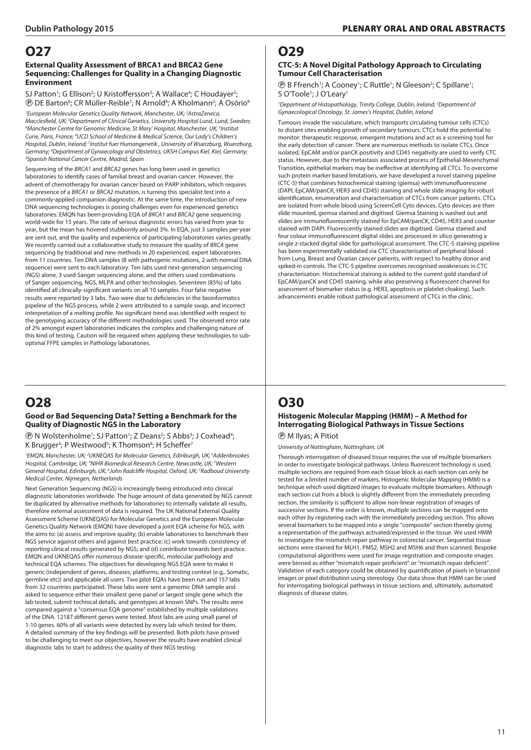#### **External Quality Assessment of BRCA1 and BRCA2 Gene Sequencing: Challenges for Quality in a Changing Diagnostic Environment**

SJ Patton<sup>1</sup>; G Ellison<sup>2</sup>; U Kristoffersson<sup>3</sup>; A Wallace<sup>4</sup>; C Houdayer<sup>5</sup>; <sup>®</sup> DE Barton<sup>6</sup>; CR Müller-Reible<sup>7</sup>; N Arnold<sup>8</sup>; A Kholmann<sup>2</sup>; A Osório<sup>9</sup>

*1 European Molecular Genetics Quality Network, Manchester, UK; 2 AstraZeneca,*  Macclesfield, UK; <sup>3</sup>Department of Clinical Genetics, University Hospital Lund, Lund, Sweden;<br><sup>4</sup>Manchester Centre for Genomic Medicine, St Mary' Hospital, Manchester, UK: <sup>5</sup>Institut *Manchester Centre for Genomic Medicine, St Mary' Hospital, Manchester, UK; 5 Institut Curie, Paris, France; 6 UCD School of Medicine & Medical Science, Our Lady's Children's*  Hospital, Dublin, Ireland; <sup>7</sup>Institut fuer Humangenetik , University of Wuerzburg, Wuerzburg, Germany; <sup>8</sup>Department of Gynaecology and Obstetrics, UKSH Campus Kiel, Kiel, Germany;<br><sup>9</sup>Spanish National Cancer Centre, Madrid, Spain *Spanish National Cancer Centre, Madrid, Spain*

Sequencing of the *BRCA1* and *BRCA2* genes has long been used in genetics laboratories to identify cases of familial breast and ovarian cancer. However, the advent of chemotherapy for ovarian cancer based on PARP inhibitors, which requires the presence of a *BRCA1* or *BRCA2* mutation, is turning this specialist test into a commonly-applied companion diagnostic. At the same time, the introduction of new DNA sequencing technologies is posing challenges even for experienced genetics laboratories. EMQN has been providing EQA of *BRCA1* and *BRCA2* gene sequencing world-wide for 15 years. The rate of serious diagnostic errors has varied from year to year, but the mean has hovered stubbornly around 3%. In EQA, just 3 samples per year are sent out, and the quality and experience of participating laboratories varies greatly. We recently carried out a collaborative study to measure the quality of *BRCA* gene sequencing by traditional and new methods in 20 experienced, expert laboratories from 11 countries. Ten DNA samples (8 with pathogenic mutations, 2 with normal DNA sequence) were sent to each laboratory. Ten labs used next-generation sequencing (NGS) alone, 3 used Sanger sequencing alone, and the others used combinations of Sanger sequencing, NGS, MLPA and other technologies. Seventeen (85%) of labs identified all clinically-significant variants on all 10 samples. Four false negative results were reported by 3 labs. Two were due to deficiencies in the bioinformatics pipeline of the NGS process, while 2 were attributed to a sample swap, and incorrect interpretation of a melting profile. No significant trend was identified with respect to the genotyping accuracy of the different methodologies used. The observed error rate of 2% amongst expert laboratories indicates the complex and challenging nature of this kind of testing. Caution will be required when applying these technologies to suboptimal FFPE samples in Pathology laboratories.

# **O28**

#### **Good or Bad Sequencing Data? Setting a Benchmark for the Quality of Diagnostic NGS in the Laboratory**

*<b>@* N Wolstenholme<sup>1</sup>; SJ Patton<sup>1</sup>; Z Deans<sup>2</sup>; S Abbs<sup>3</sup>; J Coxhead<sup>4</sup>; K Brugger<sup>3</sup>; P Westwood<sup>5</sup>; K Thomson<sup>6</sup>; H Scheffer<sup>7</sup>

<sup>1</sup> EMQN, Manchester, UK; <sup>2</sup> UKNEQAS for Molecular Genetics, Edinburgh, UK; <sup>3</sup> Addenbrookes Hospital, Cambridge, UK; <sup>4</sup>NIHR Biomedical Research Centre, Newcastle, UK; <sup>5</sup>Western General Hospital, Edinburgh, UK; <sup>6</sup>John Radcliffe Hospital, Oxford, UK; <sup>7</sup>Radboud University *Medical Center, Nijmegen, Netherlands*

Next Generation Sequencing (NGS) is increasingly being introduced into clinical diagnostic laboratories worldwide. The huge amount of data generated by NGS cannot be duplicated by alternative methods for laboratories to internally validate all results, therefore external assessment of data is required. The UK National External Quality Assessment Scheme (UKNEQAS) for Molecular Genetics and the European Molecular Genetics Quality Network (EMQN) have developed a joint EQA scheme for NGS, with the aims to: (a) assess and improve quality; (b) enable laboratories to benchmark their NGS service against others and against best practice; (c) work towards consistency of reporting clinical results generated by NGS; and (d) contribute towards best practice. EMQN and UKNEQAS offer numerous disease-specific, molecular pathology and technical EQA schemes. The objectives for developing NGS EQA were to make it generic (independent of genes, diseases, platforms, and testing context (e.g,. Somatic, germline etc)) and applicable all users. Two pilot EQAs have been run and 157 labs from 32 countries participated. These labs were sent a genomic DNA sample and asked to sequence either their smallest gene panel or largest single gene which the lab tested, submit technical details, and genotypes at known SNPs. The results were compared against a "consensus EQA genome" established by multiple validations of the DNA. 12187 different genes were tested. Most labs are using small panel of 1-10 genes. 60% of all variants were detected by every lab which tested for them. A detailed summary of the key findings will be presented. Both pilots have proved to be challenging to meet our objectives, however the results have enabled clinical diagnostic labs to start to address the quality of their NGS testing.

## **O29**

#### **CTC-5: A Novel Digital Pathology Approach to Circulating Tumour Cell Characterisation**

**(B)** B Ffrench<sup>1</sup>; A Cooney<sup>1</sup>; C Ruttle<sup>1</sup>; N Gleeson<sup>2</sup>; C Spillane<sup>1</sup>; S O'Toole<sup>1</sup>; J O'Leary<sup>1</sup>

<sup>1</sup>Department of Histopathology, Trinity College, Dublin, Ireland; <sup>2</sup>Department of *Gynaecological Oncology, St. James's Hospital, Dublin, Ireland*

Tumours invade the vasculature, which transports circulating tumour cells (CTCs) to distant sites enabling growth of secondary tumours. CTCs hold the potential to monitor: therapeutic response, emergent mutations and act as a screening tool for the early detection of cancer. There are numerous methods to isolate CTCs. Once isolated, EpCAM and/or panCK positivity and CD45 negativity are used to verify CTC status. However, due to the metastasis associated process of Epithelial-Mesenchymal Transition, epithelial markers may be ineffective at identifying all CTCs. To overcome such protein marker based limitations, we have developed a novel staining pipeline (CTC-5) that combines histochemical staining (giemsa) with immunofluorescene (DAPI, EpCAM/panCK, HER3 and CD45) staining and whole slide imaging for robust identification, enumeration and characterisation of CTCs from cancer patients. CTCs are isolated from whole blood using ScreenCell Cyto devices. Cyto devices are then slide mounted, giemsa stained and digitised. Giemsa Staining is washed out and slides are immunofluorescently stained for EpCAM/panCK, CD45, HER3 and counter stained with DAPI. Fluorescently stained slides are digitised. Giemsa stained and four colour immunofluorescent digital slides are processed in silico generating a single z-stacked digital slide for pathological assessment. The CTC-5 staining pipeline has been experimentally validated via CTC characterisation of peripheral blood from Lung, Breast and Ovarian cancer patients, with respect to healthy donor and spiked-in controls. The CTC-5 pipeline overcomes recognised weaknesses in CTC characterisation. Histochemical staining is added to the current gold standard of EpCAM/panCK and CD45 staining, while also preserving a fluorescent channel for assessment of biomarker status (e.g. HER3, apoptosis or platelet cloaking). Such advancements enable robust pathological assessment of CTCs in the clinic.

# **O30**

### **Histogenic Molecular Mapping (HMM) – A Method for Interrogating Biological Pathways in Tissue Sections**

P M Ilyas; A Pitiot

*University of Nottingham, Nottingham, UK*

Thorough interrogation of diseased tissue requires the use of multiple biomarkers in order to investigate biological pathways. Unless fluorescent technology is used, multiple sections are required from each tissue block as each section can only be tested for a limited number of markers. Histogenic Molecular Mapping (HMM) is a technique which used digitized images to evaluate multiple biomarkers. Although each section cut from a block is slightly different from the immediately preceding section, the similarity is sufficient to allow non-linear registration of images of successive sections. If the order is known, multiple sections can be mapped onto each other by registering each with the immediately preceding section. This allows several biomarkers to be mapped into a single "composite" section thereby giving a representation of the pathways activated/expressed in the tissue. We used HMM to investigate the mismatch repair pathway in colorectal cancer. Sequential tissue sections were stained for MLH1, PMS2, MSH2 and MSH6 and then scanned. Bespoke computational algorithms were used for image registration and composite images were binned as either "mismatch repair proficient" or "mismatch repair deficient". Validation of each category could be obtained by quantification of pixels in binarized images or pixel distribution using stereology. Our data show that HMM can be used for interrogating biological pathways in tissue sections and, ultimately, automated diagnosis of disease states.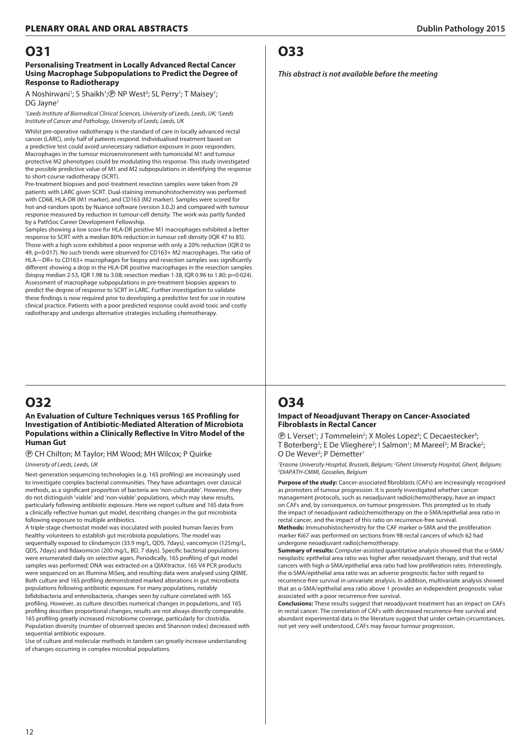#### **Personalising Treatment in Locally Advanced Rectal Cancer Using Macrophage Subpopulations to Predict the Degree of Response to Radiotherapy**

A Noshirwani<sup>1</sup>; S Shaikh<sup>1</sup>;<sup>®</sup> NP West<sup>2</sup>; SL Perry<sup>1</sup>; T Maisey<sup>1</sup>; DG Javne<sup>1</sup>

<sup>1</sup> Leeds Institute of Biomedical Clinical Sciences, University of Leeds, Leeds, UK;<sup>2</sup> Leeds *Institute of Cancer and Pathology, University of Leeds, Leeds, UK*

Whilst pre-operative radiotherapy is the standard of care in locally advanced rectal cancer (LARC), only half of patients respond. Individualised treatment based on a predictive test could avoid unnecessary radiation exposure in poor responders. Macrophages in the tumour microenvironment with tumoricidal M1 and tumour protective M2 phenotypes could be modulating this response. This study investigated the possible predictive value of M1 and M2 subpopulations in identifying the response to short-course radiotherapy (SCRT).

Pre-treatment biopsies and post-treatment resection samples were taken from 29 patients with LARC given SCRT. Dual-staining immunohistochemistry was performed with CD68, HLA-DR (M1 marker), and CD163 (M2 marker). Samples were scored for hot-and-random spots by Nuance software (version 3.0.2) and compared with tumour response measured by reduction in tumour-cell density. The work was partly funded by a PathSoc Career Development Fellowship.

Samples showing a low score for HLA-DR positive M1 macrophages exhibited a better response to SCRT with a median 80% reduction in tumour cell density (IQR 47 to 85). Those with a high score exhibited a poor response with only a 20% reduction (IQR 0 to 49, p=0·017). No such trends were observed for CD163+ M2 macrophages. The ratio of HLA—DR+ to CD163+ macrophages for biopsy and resection samples was significantly different showing a drop in the HLA-DR positive macrophages in the resection samples (biopsy median 2·53, IQR 1.98 to 3.08; resection median 1·38, IQR 0.96 to 1.80; p=0·024). Assessment of macrophage subpopulations in pre-treatment biopsies appears to predict the degree of response to SCRT in LARC. Further investigation to validate these findings is now required prior to developing a predictive test for use in routine clinical practice. Patients with a poor predicted response could avoid toxic and costly radiotherapy and undergo alternative strategies including chemotherapy.

## **O32**

#### **An Evaluation of Culture Techniques versus 16S Profiling for Investigation of Antibiotic-Mediated Alteration of Microbiota Populations within a Clinically Reflective In Vitro Model of the Human Gut**

P CH Chilton; M Taylor; HM Wood; MH Wilcox; P Quirke

#### *University of Leeds, Leeds, UK*

Next-generation sequencing technologies (e.g. 16S profiling) are increasingly used to investigate complex bacterial communities. They have advantages over classical methods, as a significant proportion of bacteria are 'non-culturable'. However, they do not distinguish 'viable' and 'non-viable' populations, which may skew results, particularly following antibiotic exposure. Here we report culture and 16S data from a clinically reflective human gut model, describing changes in the gut microbiota following exposure to multiple antibiotics.

A triple-stage chemostat model was inoculated with pooled human faeces from healthy volunteers to establish gut microbiota populations. The model was sequentially exposed to clindamycin (33.9 mg/L, QDS, 7days), vancomycin (125mg/L, QDS, 7days) and fidaxomicin (200 mg/L, BD, 7 days). Specific bacterial populations were enumerated daily on selective agars. Periodically, 16S profiling of gut model samples was performed; DNA was extracted on a QIAXtractor, 16S V4 PCR products were sequenced on an Illumina MiSeq, and resulting data were analysed using QIIME. Both culture and 16S profiling demonstrated marked alterations in gut microbiota populations following antibiotic exposure. For many populations, notably bifidobacteria and enterobacteria, changes seen by culture correlated with 16S profiling. However, as culture describes numerical changes in populations, and 16S profiling describes proportional changes, results are not always directly comparable. 16S profiling greatly increased microbiome coverage, particularly for clostridia. Population diversity (number of observed species and Shannon index) decreased with sequential antibiotic exposure.

Use of culture and molecular methods in tandem can greatly increase understanding of changes occurring in complex microbial populations.

### **O33**

#### *This abstract is not available before the meeting*

## **O34**

#### **Impact of Neoadjuvant Therapy on Cancer-Associated Fibroblasts in Rectal Cancer**

**(B)** L Verset<sup>1</sup>; J Tommelein<sup>2</sup>; X Moles Lopez<sup>3</sup>; C Decaestecker<sup>3</sup>; T Boterberg<sup>2</sup>; E De Vlieghere<sup>2</sup>; I Salmon<sup>1</sup>; M Mareel<sup>2</sup>; M Bracke<sup>2</sup>; O De Wever<sup>2</sup>; P Demetter<sup>1</sup>

*1 Erasme University Hospital, Brussels, Belgium; 2 Ghent University Hospital, Ghent, Belgium; 3 DIAPATH-CMMI, Gosselies, Belgium*

**Purpose of the study:** Cancer-associated fibroblasts (CAFs) are increasingly recognised as promoters of tumour progression. It is poorly investigated whether cancer management protocols, such as neoadjuvant radio(chemo)therapy, have an impact on CAFs and, by consequence, on tumour progression. This prompted us to study the impact of neoadjuvant radio(chemo)therapy on the α-SMA/epithelial area ratio in rectal cancer, and the impact of this ratio on recurrence-free survival.

**Methods:** Immunohistochemistry for the CAF marker α-SMA and the proliferation marker Ki67 was performed on sections from 98 rectal cancers of which 62 had undergone neoadjuvant radio(chemo)therapy.

**Summary of results:** Computer-assisted quantitative analysis showed that the α-SMA/ neoplastic epithelial area ratio was higher after neoadjuvant therapy, and that rectal cancers with high α-SMA/epithelial area ratio had low proliferation rates. Interestingly, the α-SMA/epithelial area ratio was an adverse prognostic factor with regard to recurrence-free survival in univariate analysis. In addition, multivariate analysis showed that an α-SMA/epithelial area ratio above 1 provides an independent prognostic value associated with a poor recurrence-free survival.

**Conclusions:** These results suggest that neoadjuvant treatment has an impact on CAFs in rectal cancer. The correlation of CAFs with decreased recurrence-free survival and abundant experimental data in the literature suggest that under certain circumstances, not yet very well understood, CAFs may favour tumour progression.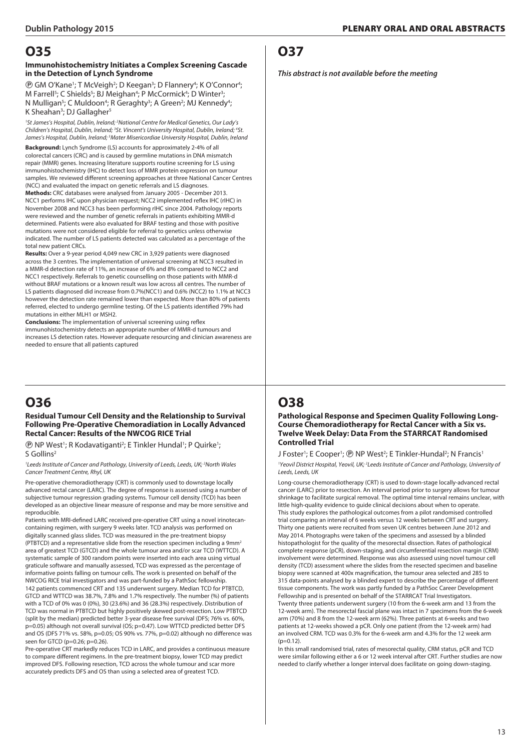#### **Immunohistochemistry Initiates a Complex Screening Cascade in the Detection of Lynch Syndrome**

*<b>@ GM O'Kane<sup>1</sup>;* T McVeigh<sup>2</sup>; D Keegan<sup>3</sup>; D Flannery<sup>4</sup>; K O'Connor<sup>4</sup>; M Farrell<sup>5</sup>; C Shields<sup>5</sup>; BJ Meighan<sup>4</sup>; P McCormick<sup>4</sup>; D Winter<sup>3</sup>; N Mulligan<sup>5</sup>; C Muldoon<sup>4</sup>; R Geraghty<sup>3</sup>; A Green<sup>2</sup>; MJ Kennedy<sup>4</sup>; K Sheahan<sup>3</sup>; DJ Gallagher<sup>5</sup>

<sup>1</sup> St James's Hospital, Dublin, Ireland; <sup>2</sup> National Centre for Medical Genetics, Our Lady's *Children's Hospital, Dublin, Ireland; 3 St. Vincent's University Hospital, Dublin, Ireland; 4 St. James's Hospital, Dublin, Ireland; 5 Mater Misericordiae University Hospital, Dublin, Ireland*

**Background:** Lynch Syndrome (LS) accounts for approximately 2-4% of all colorectal cancers (CRC) and is caused by germline mutations in DNA mismatch repair (MMR) genes. Increasing literature supports routine screening for LS using immunohistochemistry (IHC) to detect loss of MMR protein expression on tumour samples. We reviewed different screening approaches at three National Cancer Centres (NCC) and evaluated the impact on genetic referrals and LS diagnoses.

**Methods:** CRC databases were analysed from January 2005 - December 2013. NCC1 performs IHC upon physician request; NCC2 implemented reflex IHC (rIHC) in November 2008 and NCC3 has been performing rIHC since 2004. Pathology reports were reviewed and the number of genetic referrals in patients exhibiting MMR-d determined. Patients were also evaluated for BRAF testing and those with positive mutations were not considered eligible for referral to genetics unless otherwise indicated. The number of LS patients detected was calculated as a percentage of the total new patient CRCs.

**Results:** Over a 9-year period 4,049 new CRC in 3,929 patients were diagnosed across the 3 centres. The implementation of universal screening at NCC3 resulted in a MMR-d detection rate of 11%, an increase of 6% and 8% compared to NCC2 and NCC1 respectively. Referrals to genetic counselling on those patients with MMR-d without BRAF mutations or a known result was low across all centres. The number of LS patients diagnosed did increase from 0.7%(NCC1) and 0.6% (NCC2) to 1.1% at NCC3 however the detection rate remained lower than expected. More than 80% of patients referred, elected to undergo germline testing. Of the LS patients identified 79% had mutations in either MLH1 or MSH2.

**Conclusions:** The implementation of universal screening using reflex immunohistochemistry detects an appropriate number of MMR-d tumours and increases LS detection rates. However adequate resourcing and clinician awareness are needed to ensure that all patients captured

# **O36**

#### **Residual Tumour Cell Density and the Relationship to Survival Following Pre-Operative Chemoradiation in Locally Advanced Rectal Cancer: Results of the NWCOG RICE Trial**

**(B)** NP West<sup>1</sup>; R Kodavatiganti<sup>2</sup>; E Tinkler Hundal<sup>1</sup>; P Quirke<sup>1</sup>; S Gollins2

<sup>1</sup> Leeds Institute of Cancer and Pathology, University of Leeds, Leeds, UK;<sup>2</sup> North Wales *Cancer Treatment Centre, Rhyl, UK*

Pre-operative chemoradiotherapy (CRT) is commonly used to downstage locally advanced rectal cancer (LARC). The degree of response is assessed using a number of subjective tumour regression grading systems. Tumour cell density (TCD) has been developed as an objective linear measure of response and may be more sensitive and reproducible.

Patients with MRI-defined LARC received pre-operative CRT using a novel irinotecancontaining regimen, with surgery 9 weeks later. TCD analysis was performed on digitally scanned glass slides. TCD was measured in the pre-treatment biopsy (PTBTCD) and a representative slide from the resection specimen including a 9mm<sup>2</sup> area of greatest TCD (GTCD) and the whole tumour area and/or scar TCD (WTTCD). A systematic sample of 300 random points were inserted into each area using virtual graticule software and manually assessed, TCD was expressed as the percentage of informative points falling on tumour cells. The work is presented on behalf of the NWCOG RICE trial investigators and was part-funded by a PathSoc fellowship. 142 patients commenced CRT and 135 underwent surgery. Median TCD for PTBTCD, GTCD and WTTCD was 38.7%, 7.8% and 1.7% respectively. The number (%) of patients with a TCD of 0% was 0 (0%), 30 (23.6%) and 36 (28.3%) respectively. Distribution of TCD was normal in PTBTCD but highly positively skewed post-resection. Low PTBTCD (split by the median) predicted better 3-year disease free survival (DFS; 76% vs. 60%, p=0.05) although not overall survival (OS; p=0.47). Low WTTCD predicted better DFS and OS (DFS 71% vs. 58%, p=0.05; OS 90% vs. 77%, p=0.02) although no difference was seen for GTCD (p=0.26; p=0.26).

Pre-operative CRT markedly reduces TCD in LARC, and provides a continuous measure to compare different regimens. In the pre-treatment biopsy, lower TCD may predict improved DFS. Following resection, TCD across the whole tumour and scar more accurately predicts DFS and OS than using a selected area of greatest TCD.

### **O37**

*This abstract is not available before the meeting*

# **O38**

#### **Pathological Response and Specimen Quality Following Long-Course Chemoradiotherapy for Rectal Cancer with a Six vs. Twelve Week Delay: Data From the STARRCAT Randomised Controlled Trial**

#### J Foster<sup>1</sup>; E Cooper<sup>1</sup>; ® NP West<sup>2</sup>; E Tinkler-Hundal<sup>2</sup>; N Francis<sup>1</sup> <sup>1</sup>Yeovil District Hospital, Yeovil, UK; <sup>2</sup> Leeds Institute of Cancer and Pathology, University of *Leeds, Leeds, UK*

Long-course chemoradiotherapy (CRT) is used to down-stage locally-advanced rectal cancer (LARC) prior to resection. An interval period prior to surgery allows for tumour shrinkage to facilitate surgical removal. The optimal time interval remains unclear, with little high-quality evidence to guide clinical decisions about when to operate. This study explores the pathological outcomes from a pilot randomised controlled trial comparing an interval of 6 weeks versus 12 weeks between CRT and surgery. Thirty one patients were recruited from seven UK centres between June 2012 and May 2014. Photographs were taken of the specimens and assessed by a blinded histopathologist for the quality of the mesorectal dissection. Rates of pathological complete response (pCR), down-staging, and circumferential resection margin (CRM) involvement were determined. Response was also assessed using novel tumour cell density (TCD) assessment where the slides from the resected specimen and baseline biopsy were scanned at 400x magnification, the tumour area selected and 285 to 315 data-points analysed by a blinded expert to describe the percentage of different tissue components. The work was partly funded by a PathSoc Career Development Fellowship and is presented on behalf of the STARRCAT Trial Investigators. Twenty three patients underwent surgery (10 from the 6-week arm and 13 from the 12-week arm). The mesorectal fascial plane was intact in 7 specimens from the 6-week arm (70%) and 8 from the 12-week arm (62%). Three patients at 6-weeks and two patients at 12-weeks showed a pCR. Only one patient (from the 12-week arm) had an involved CRM. TCD was 0.3% for the 6-week arm and 4.3% for the 12 week arm  $(n=0.12)$ .

In this small randomised trial, rates of mesorectal quality, CRM status, pCR and TCD were similar following either a 6 or 12 week interval after CRT. Further studies are now needed to clarify whether a longer interval does facilitate on going down-staging.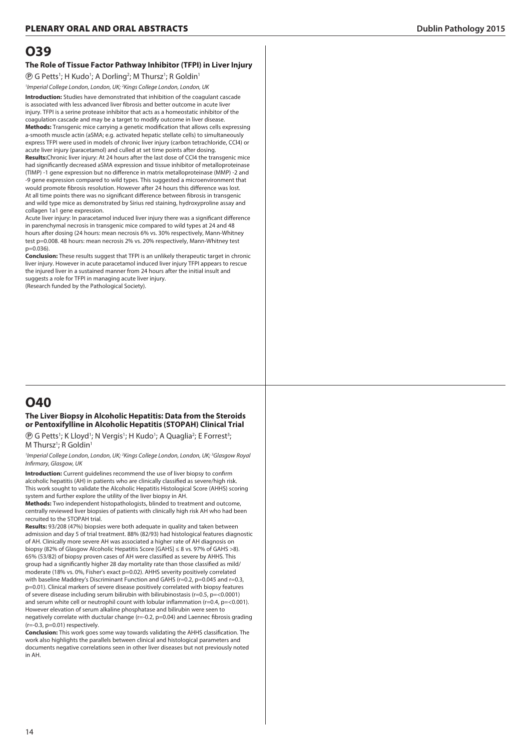#### **The Role of Tissue Factor Pathway Inhibitor (TFPI) in Liver Injury**

*(***)** G Petts<sup>1</sup>; H Kudo<sup>1</sup>; A Dorling<sup>2</sup>; M Thursz<sup>1</sup>; R Goldin<sup>1</sup>

*1 Imperial College London, London, UK; 2 Kings College London, London, UK*

**Introduction:** Studies have demonstrated that inhibition of the coagulant cascade is associated with less advanced liver fibrosis and better outcome in acute liver injury. TFPI is a serine protease inhibitor that acts as a homeostatic inhibitor of the coagulation cascade and may be a target to modify outcome in liver disease. **Methods:** Transgenic mice carrying a genetic modification that allows cells expressing a-smooth muscle actin (aSMA; e.g. activated hepatic stellate cells) to simultaneously express TFPI were used in models of chronic liver injury (carbon tetrachloride, CCl4) or acute liver injury (paracetamol) and culled at set time points after dosing.

**Results:**Chronic liver injury: At 24 hours after the last dose of CCl4 the transgenic mice had significantly decreased aSMA expression and tissue inhibitor of metalloproteinase (TIMP) -1 gene expression but no difference in matrix metalloproteinase (MMP) -2 and -9 gene expression compared to wild types. This suggested a microenvironment that would promote fibrosis resolution. However after 24 hours this difference was lost. At all time points there was no significant difference between fibrosis in transgenic and wild type mice as demonstrated by Sirius red staining, hydroxyproline assay and collagen 1a1 gene expression.

Acute liver injury: In paracetamol induced liver injury there was a significant difference in parenchymal necrosis in transgenic mice compared to wild types at 24 and 48 hours after dosing (24 hours: mean necrosis 6% vs. 30% respectively, Mann-Whitney test p=0.008. 48 hours: mean necrosis 2% vs. 20% respectively, Mann-Whitney test  $p=0.036$ 

**Conclusion:** These results suggest that TFPI is an unlikely therapeutic target in chronic liver injury. However in acute paracetamol induced liver injury TFPI appears to rescue the injured liver in a sustained manner from 24 hours after the initial insult and suggests a role for TFPI in managing acute liver injury. (Research funded by the Pathological Society).

## **O40**

#### **The Liver Biopsy in Alcoholic Hepatitis: Data from the Steroids or Pentoxifylline in Alcoholic Hepatitis (STOPAH) Clinical Trial**

*<b>D* G Petts<sup>1</sup>; K Lloyd<sup>1</sup>; N Vergis<sup>1</sup>; H Kudo<sup>1</sup>; A Quaglia<sup>2</sup>; E Forrest<sup>3</sup>; M Thursz<sup>1</sup>; R Goldin<sup>1</sup>

<sup>1</sup> Imperial College London, London, UK; <sup>2</sup> Kings College London, London, UK; <sup>3</sup> Glasgow Royal *Infirmary, Glasgow, UK*

**Introduction:** Current guidelines recommend the use of liver biopsy to confirm alcoholic hepatitis (AH) in patients who are clinically classified as severe/high risk. This work sought to validate the Alcoholic Hepatitis Histological Score (AHHS) scoring system and further explore the utility of the liver biopsy in AH.

**Methods:** Two independent histopathologists, blinded to treatment and outcome, centrally reviewed liver biopsies of patients with clinically high risk AH who had been recruited to the STOPAH trial.

**Results:** 93/208 (47%) biopsies were both adequate in quality and taken between admission and day 5 of trial treatment. 88% (82/93) had histological features diagnostic of AH. Clinically more severe AH was associated a higher rate of AH diagnosis on biopsy (82% of Glasgow Alcoholic Hepatitis Score [GAHS] ≤ 8 vs. 97% of GAHS >8). 65% (53/82) of biopsy proven cases of AH were classified as severe by AHHS. This group had a significantly higher 28 day mortality rate than those classified as mild/ moderate (18% vs. 0%, Fisher's exact p=0.02). AHHS severity positively correlated with baseline Maddrey's Discriminant Function and GAHS (r=0.2, p=0.045 and r=0.3, p=0.01). Clinical markers of severe disease positively correlated with biopsy features of severe disease including serum bilirubin with bilirubinostasis (r=0.5, p=<0.0001) and serum white cell or neutrophil count with lobular inflammation ( $r=0.4$ ,  $p=<0.001$ ). However elevation of serum alkaline phosphatase and bilirubin were seen to negatively correlate with ductular change (r=-0.2, p=0.04) and Laennec fibrosis grading (r=-0.3, p=0.01) respectively.

**Conclusion:** This work goes some way towards validating the AHHS classification. The work also highlights the parallels between clinical and histological parameters and documents negative correlations seen in other liver diseases but not previously noted in AH.